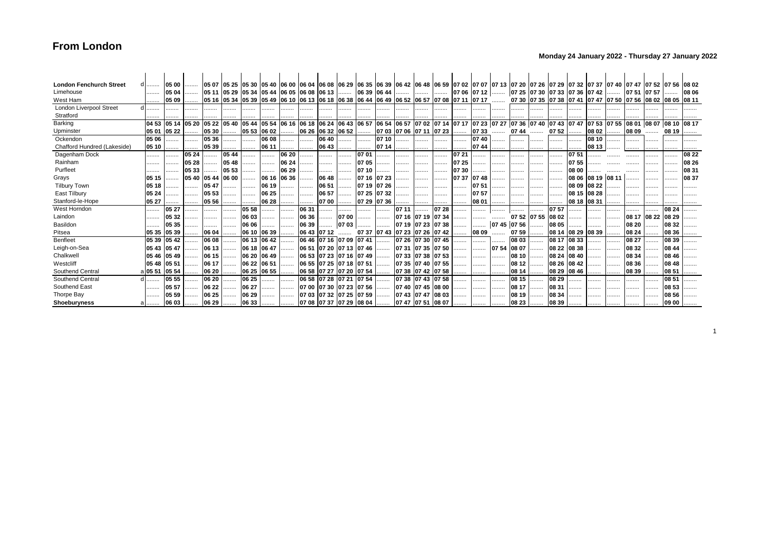### **Monday 24 January 2022 - Thursday 27 January 2022**

| <b>London Fenchurch Street</b> | a       | 05 00 | .     |       |       |             |                                                                                                          |       |       |                         |       |             |             |                               |             |       |       |             | 05 07 05 25 05 30  05 40  06 00  06 04  06 08  06 29  06 35  06 39  06 42  06 48  06 59  07 02  07 07  07 13  07 20  07 26  07 29  07 32  07 37  07 40  07 47  07 52  07 56  08 02 |             |   |                   |             |             |   |                                                          |       |             |       |
|--------------------------------|---------|-------|-------|-------|-------|-------------|----------------------------------------------------------------------------------------------------------|-------|-------|-------------------------|-------|-------------|-------------|-------------------------------|-------------|-------|-------|-------------|------------------------------------------------------------------------------------------------------------------------------------------------------------------------------------|-------------|---|-------------------|-------------|-------------|---|----------------------------------------------------------|-------|-------------|-------|
| Limehouse                      | .       | 05 04 | .     |       |       |             | 105 11 105 29 105 34 105 44 106 05 106 08                                                                |       |       | $0613$                  |       | 06 39 06 44 |             | .                             |             | .     |       |             | 07 06 07 12  07 25 07 30 07 33 07 36 07 42                                                                                                                                         |             |   |                   |             |             | . | 07 51                                                    | 07 57 | .           | 08 06 |
| West Ham                       |         | 05 09 | .     |       |       |             | l05 16  05 34  05 39  05 49  06 10  06 13  06 18  06 38  06 44  06 49  06 52  06 57  07 08  07 11  07 17 |       |       |                         |       |             |             |                               |             |       |       |             |                                                                                                                                                                                    |             |   |                   |             |             |   | $\ldots$ 07 30 07 35 07 38 07 41 07 47 07 50 07 56 08 02 |       | 08 05 08 11 |       |
| <b>London Liverpool Street</b> |         |       |       |       |       |             |                                                                                                          |       |       |                         |       |             |             |                               |             |       |       |             |                                                                                                                                                                                    |             |   |                   |             |             |   |                                                          |       |             |       |
| Stratford                      |         |       |       |       |       |             |                                                                                                          |       |       |                         |       |             |             |                               |             |       |       |             |                                                                                                                                                                                    |             |   |                   |             |             |   |                                                          |       |             |       |
| Barking                        | 04 53   | 05 14 | 05 20 | 05 22 | 05 40 | 05 44       | 05 54                                                                                                    | 06 16 | 06 18 | 06 24                   | 06 43 | 06 57       | 06 54 06 57 |                               | 07 02 07 14 |       | 07 17 | 07 23 07 27 |                                                                                                                                                                                    | 07 36 07 40 |   | 07 43 07 47       |             | 0753        |   | 07 55 08 01                                              | 08 07 | 08 10       | 08 17 |
| Upminster                      | 05 01   | 05 22 | .     | 05 30 |       | 05 53 06 02 |                                                                                                          | .     | 06 26 | 06 32 06 52             |       |             |             | 07 03 07 06 07 11 07 23       |             |       | 1.    | 0733        | 07 44                                                                                                                                                                              |             |   | 07 52 $ $         |             | 08 02       |   | $\frac{1}{2}$ 08 09                                      |       | 08 19       |       |
| Ockendon                       | 05 06   |       | .     | 05 36 |       |             | 06 08                                                                                                    | .     | .     | 06 40                   |       |             | 07 10       | .                             |             |       |       | 07 40       | .                                                                                                                                                                                  |             |   | .                 | .           | 08 10       |   |                                                          |       |             |       |
| Chafford Hundred (Lakeside)    | 05 10   |       |       | 05 39 |       |             | 06 11                                                                                                    | .     | .     | 06 43                   |       |             | 07 14       | .                             |             |       |       | 0744        |                                                                                                                                                                                    |             |   |                   | .           | 08 13       |   | .                                                        |       |             |       |
| Dagenham Dock                  | .       | .     | 05 24 | .     | 05 44 | .           |                                                                                                          | 06 20 |       | .                       |       | 0701        |             | .                             |             | .     | 07 21 |             | .                                                                                                                                                                                  |             | . | .                 | 07 51       |             |   |                                                          |       | .           | 08 22 |
| Rainham                        | .       |       | 05 28 | .     | 05 48 | .           |                                                                                                          | 06 24 | .     | .                       |       | 07 05       | .           | .                             |             |       | 07 25 |             | .                                                                                                                                                                                  | .           | . |                   | 0755        |             |   |                                                          | .     | .           | 08 26 |
| Purfleet                       | .       | .     | 05 33 |       | 05 53 |             |                                                                                                          | 06 29 |       | .                       | .     | 07 10       |             |                               |             |       | 07 30 |             | .                                                                                                                                                                                  |             |   | .                 | 08 00       |             |   |                                                          | .     | .           | 08 31 |
| Grays                          | 05 15   |       | 05 40 | 05 44 | 06 00 |             | 06 16 06 36                                                                                              |       | .     | 06 48                   |       | 07 16 07 23 |             | .                             | .           | .     | 07 37 | 10748       | .                                                                                                                                                                                  |             |   |                   | 08 06       | 08 19 08 11 |   |                                                          | .     | .           | 08 37 |
| <b>Tilbury Town</b>            | 05 18   | .     |       | 05 47 |       |             | 06 19                                                                                                    | .     | .     | 06 51                   |       | 07 19 07 26 |             |                               |             | .     |       | 0751        |                                                                                                                                                                                    |             | . |                   | 08 09       | 08 22       |   |                                                          |       |             |       |
| East Tilbury                   | 05 24   |       |       | 05 53 | .     | .           | 06 25                                                                                                    |       | .     | 06 57                   |       | 07 25 07 32 |             | .                             | .           | .     |       | 0757        | .                                                                                                                                                                                  | .           | . | .                 | 108 15      | 08 28       | . | .                                                        | .     |             |       |
| Stanford-le-Hope               | 05 27   |       |       | 05 56 |       |             | 06 28                                                                                                    |       |       | 07 00                   |       | 07 29 07 36 |             |                               |             | .     |       | 08 01       | .                                                                                                                                                                                  |             |   |                   | 08 18 08 31 |             |   |                                                          |       |             |       |
| West Horndon                   | .       | 05 27 |       | .     |       | 05 58       |                                                                                                          | .     | 06 31 | .                       |       | .           | .           | 07 11                         |             | 07 28 | .     | .           | .                                                                                                                                                                                  |             |   | 0757              |             |             |   |                                                          |       | 08 24       |       |
| Laindon                        | .       | 05 32 | .     |       |       | 06 03       |                                                                                                          | .     | 06 36 | .                       | 07 00 | .           | .           | 07 16 07 19 07 34             |             |       | .     | .           |                                                                                                                                                                                    | 07 52 07 55 |   | 08 02             | .           | .           | . | 08 17                                                    | 08 22 | 08 29       |       |
| Basildon                       | .       | 05 35 |       | .     |       | 06 06       | .                                                                                                        | .     | 06 39 | .                       | 07 03 | .           | .           | 07 19 07 23 07 38             |             |       |       | .           | 07 45 07 56                                                                                                                                                                        |             | . | 08 05             |             | .           | . | 08 20                                                    |       | 08 32       |       |
| Pitsea                         | 05 35   | 05 39 |       | 06 04 |       |             | 06 10 06 39                                                                                              | .     | 06 43 | 0712                    |       |             |             | 07 37 07 43 07 23 07 26 07 42 |             |       |       | 08 09       |                                                                                                                                                                                    | $0759$      |   | 08 14 08 29 08 39 |             |             |   | 08 24                                                    |       | 08 36       |       |
| Benfleet                       | 05 39   | 05 42 |       | 06 08 |       |             | 06 13 06 42                                                                                              | .     | 06 46 | 07 16 07 09 07 41       |       |             | .           | 07 26 07 30 07 45             |             |       | .     |             |                                                                                                                                                                                    | 08 03       |   | 08 17             | 08 33       |             |   | 08 27                                                    |       | 08 39       |       |
| Leigh-on-Sea                   | 05 43   | 05 47 | .     | 06 13 |       | 06 18 06 47 |                                                                                                          | .     | 06 51 | 07 20 07 13 07 46       |       |             | .           | 07 31 07 35 07 50             |             |       | .     | .           | 07 54                                                                                                                                                                              | 08 07       |   | 08 22             | 08 38       |             |   | 08 32                                                    | .     | 08 44       |       |
| Chalkwel                       | 05 46   | 05 49 |       | 06 15 |       | 06 20       | 06 49                                                                                                    | .     | 06 53 | 07 23 07 16 07 49       |       |             | .           | 07 33 07 38 07 53             |             |       |       | .           | .                                                                                                                                                                                  | 08 10       | . | 08 24             | 08 40       |             | . | 08 34                                                    | .     | 08 46       |       |
| Westcliff                      | 05 48   | 05 51 |       | 06 17 |       | 06 22 06 51 |                                                                                                          | .     |       | 06 55 07 25 07 18 07 51 |       |             | .           | 07 35 07 40 07 55             |             |       |       |             | .                                                                                                                                                                                  | 08 12       |   | 08 26             | 08 42       |             |   | 08 36                                                    |       | 08 48       |       |
| Southend Central               | a 05 51 | 05 54 | .     | 06 20 |       |             | 06 25 06 55                                                                                              | .     | 06 58 | 07 27 07 20             |       | 07 54       |             | 07 38 07 42 07 58             |             |       | .     |             | .                                                                                                                                                                                  | 08 14       | . | 08 29             | 08 46       |             | . | 08 39                                                    | .     | 08 51       |       |
| Southend Central               | .       | 05 55 |       | 06 20 |       | 06 25       | .                                                                                                        | .     | 06 58 | 07 28 07 21 07 54       |       |             | .           | 07 38 07 43 07 58             |             |       |       |             | .                                                                                                                                                                                  | 08 15       | . | 08 29             |             |             |   |                                                          |       | 08 51       |       |
| Southend East                  | .       | 05 57 |       | 06 22 | .     | 06 27       |                                                                                                          | .     | 07 00 | 07 30 07 23 07 56       |       |             | .           | 07 40                         | 07 45 08 00 |       |       | .           | .                                                                                                                                                                                  | 08 17       | . | 08 31             | .           |             |   |                                                          | .     | 08 53       |       |
| Thorpe Bay                     |         | 05 59 | .     | 06 25 |       | 06 29       | .                                                                                                        | .     |       | 07 03 07 32 07 25 07 59 |       |             | .           | 07 43 07 47 08 03             |             |       |       | .           |                                                                                                                                                                                    | 08 19       |   | 08 34             |             |             |   |                                                          |       | 08 56       |       |
| <b>Shoeburvness</b>            |         | 06 03 |       | 06 29 |       | 06 33       |                                                                                                          |       |       | 07 08 07 37 07 29 08 04 |       |             |             | 07 47  07 51                  |             | 08 07 |       |             |                                                                                                                                                                                    | 08 23       |   | 08 39             | .           |             |   |                                                          |       | 09 00       |       |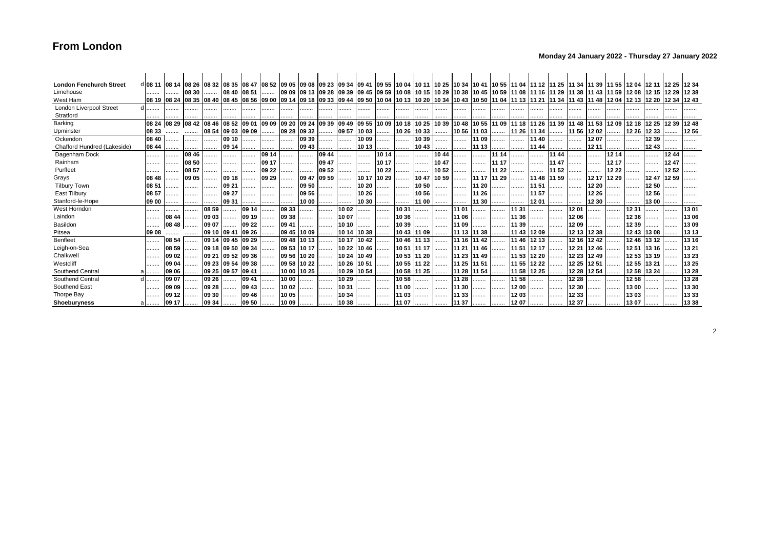### **Monday 24 January 2022 - Thursday 27 January 2022**

| <b>London Fenchurch Street</b> | d 08 11  08 14  08 26  08 32  08 35  08 47  08 52  09 05  09 08  09 23  09 34  09 41  09 55  10 04  10 11  10 25  10 34  10 41  10 55  11 04  11 12  11 25  11 34  11 39  11 55  12 04  12 11  12 25  12 04  12 11  12 25  12 |                         |       |       |             |              |       |             |             |                   |             |             |       |             |       |       |                   |             |                                                                                                                                                                               |             |       |       |             |              |             |       |       |       |       |
|--------------------------------|-------------------------------------------------------------------------------------------------------------------------------------------------------------------------------------------------------------------------------|-------------------------|-------|-------|-------------|--------------|-------|-------------|-------------|-------------------|-------------|-------------|-------|-------------|-------|-------|-------------------|-------------|-------------------------------------------------------------------------------------------------------------------------------------------------------------------------------|-------------|-------|-------|-------------|--------------|-------------|-------|-------|-------|-------|
| Limehouse                      |                                                                                                                                                                                                                               |                         | 08 30 | .     | 08 40 08 51 |              |       |             |             |                   |             |             |       |             |       |       |                   |             | <u> 09 09  09 13  09 28  09 39  09 45  09 59  10 08  10 15  10 29  10 38  10 45  10 59  11 08  11 16  11 29  11 38  11 43  11 59  12 08  12 15  12 29  12 38</u>              |             |       |       |             |              |             |       |       |       |       |
| West Ham                       |                                                                                                                                                                                                                               | 08 19 08 24 08 35 08 40 |       |       |             |              |       |             |             |                   |             |             |       |             |       |       |                   |             | 08 45  08 56  09 00  09 14  09 18  09 33  09 44  09 50  10 04  10 13  10 20  10 34  10 43  10 50  11 04  11 13  11 13  11 13  11 43  11 48  12 04  12 13  12 20  12 34  12 43 |             |       |       |             |              |             |       |       |       |       |
| London Liverpool Street        |                                                                                                                                                                                                                               | .                       | .     |       | .           | .            | .     | .           |             | .                 |             |             | .     |             |       |       |                   | .           |                                                                                                                                                                               |             |       |       | .           |              |             |       |       |       |       |
| Stratford                      |                                                                                                                                                                                                                               |                         |       |       |             |              |       |             |             |                   |             |             |       |             |       |       |                   |             |                                                                                                                                                                               |             |       |       |             |              |             |       |       |       |       |
| Barking                        | 08 24                                                                                                                                                                                                                         | 08 29 08 42             |       | 08 46 | 08 52 09 01 |              | 09 09 | 09 20 09 24 |             | 09 39 09 49 09 55 |             |             | 1009  | 10 18       | 10 25 |       | 10 39 10 48 10 55 |             | 11 09                                                                                                                                                                         | 11 18 11 26 |       |       | 11 39 11 48 | 11 53        | 12 09 12 18 |       | 12 25 | 12 39 | 1248  |
| Upminster                      | 08 33                                                                                                                                                                                                                         |                         |       | 08 54 | 09 03 09 09 |              |       |             | 09 28 09 32 |                   | 09 57 10 03 |             | .     | 10 26       | 10 33 |       | 10 56 11 03       |             |                                                                                                                                                                               | 11 26 11 34 |       | .     |             | $1156$ 12 02 |             | 12 26 | 12 33 |       | 1256  |
| Ockendon                       | 08 40                                                                                                                                                                                                                         | .                       | .     | .     | 09 10       |              | .     | .           | 09 39       | .                 |             | 1009        | .     | .           | 10 39 |       | .                 | 11 09       |                                                                                                                                                                               | .           | 11 40 | .     | .           | 1207         |             |       | 12 39 |       |       |
| Chafford Hundred (Lakeside)    | 08 44                                                                                                                                                                                                                         |                         |       | .     | 09 14       |              |       | .           | 09 43       | .                 |             | 10 13       |       |             | 1043  |       | .                 | 11 13       |                                                                                                                                                                               |             | 11 44 |       | .           | 12 11        |             |       | 1243  |       |       |
| Dagenham Dock                  |                                                                                                                                                                                                                               | .                       | 08 46 | .     |             |              | 09 14 |             | .           | 09 44             |             |             | 10 14 |             |       | 10 44 |                   | .           | 11 14                                                                                                                                                                         | .           | .     | 11 44 |             | .            | 12 14       |       |       | 1244  |       |
| Rainham                        | .                                                                                                                                                                                                                             | .                       | 08 50 | .     |             | .            | 09 17 | .           | .           | 09 47             |             |             | 10 17 |             |       | 1047  |                   | .           | 11 17                                                                                                                                                                         | .           | .     | 11 47 | .           | .            | 12 17       |       |       | 1247  |       |
| Purfleet                       |                                                                                                                                                                                                                               |                         | 08 57 |       |             |              | 09 22 |             | .           | 09 52             |             |             | 1022  |             |       | 10 52 | .                 | .           | 11 22                                                                                                                                                                         | .           |       | 11 52 | .           |              | 12 22       |       |       | 1252  |       |
| Grays                          | 08 48                                                                                                                                                                                                                         |                         | 09 05 |       | 09 18       |              | 09 29 | .           | 09 47       | 09 59             | .           | 10 17       | 10 29 |             | 1047  | 10 59 |                   | 11 17 11 29 |                                                                                                                                                                               | .           | 11 48 | 11 59 | .           | 12 17        | 12 29       |       | 1247  | 1259  |       |
| <b>Tilbury Town</b>            | 08 51                                                                                                                                                                                                                         |                         |       |       | 09 21       | .            | .     | .           | 09 50       |                   |             | 10 20       | .     | .           | 10 50 | .     | .                 | 11 20       |                                                                                                                                                                               | .           | 11 51 | .     | .           | 12 20        |             |       | 1250  |       |       |
| East Tilbury                   | 08 57                                                                                                                                                                                                                         |                         |       | .     | 09 27       |              | .     |             | 09 56       |                   |             | 10 26       | .     |             | 10 56 |       |                   | 11 26       | .                                                                                                                                                                             | .           | 11 57 | .     | .           | 12 26        |             |       | 1256  |       |       |
| Stanford-le-Hope               | 109 00                                                                                                                                                                                                                        | .                       | .     |       | 09 31       |              |       |             | 10 00       |                   | .           | 10 30       |       |             | 11 00 | .     |                   | 11 30       |                                                                                                                                                                               | .           | 1201  | .     |             | 12 30        |             |       | 13 00 |       |       |
| West Horndon                   |                                                                                                                                                                                                                               | .                       | .     | 08 59 |             | 09 14        |       | 09 33       | .           | .                 | 10 02       |             | .     | 1031        |       | .     | 11 01             | .           |                                                                                                                                                                               | 11 31       | .     |       | 1201        | .            |             | 1231  |       |       | 1301  |
| Laindon                        | .                                                                                                                                                                                                                             | 08 44                   | .     | 09 03 | .           | 09 19        |       | 09 38       |             | .                 | 1007        | .           | .     | 10 36       |       | .     | 11 06             |             | .                                                                                                                                                                             | 11 36       |       |       | 1206        |              |             | 12 36 | .     |       | 13 06 |
| Basildon                       |                                                                                                                                                                                                                               | $0848$                  |       | 09 07 |             | 09 22        |       | 09 41       |             | .                 | 10 10       |             | .     | 1039        |       | .     | 11 09             | .           |                                                                                                                                                                               | 11 39       | .     | .     | 1209        | .            | .           | 12 39 |       |       | 1309  |
| Pitsea                         | 09 08                                                                                                                                                                                                                         |                         |       | 09 10 | 09 41       | 09 26        |       | 09 45       | 10 09       | .                 | 10 14 10 38 |             | .     | 10 43 11 09 |       | .     | 11 13 11 38       |             |                                                                                                                                                                               | 11 43 12 09 |       |       | 12 13 12 38 |              |             | 12 43 | 1308  |       | 13 13 |
| Benfleet                       |                                                                                                                                                                                                                               | 08 54                   |       | 09 14 | 09 45 09 29 |              |       | 09 48       | 10 13       |                   |             | 10 17 10 42 | .     | 1046        | 11 13 |       | 11 16 11 42       |             | .                                                                                                                                                                             | 11 46 12 13 |       |       | 12 16       | 1242         |             | 1246  | 13 12 |       | 13 16 |
| Leigh-on-Sea                   | .                                                                                                                                                                                                                             | 08 59                   | .     | 09 18 | 09 50 09 34 |              |       | 09 53 10 17 |             |                   | 10 22 10 46 |             | .     | 10 51 11 17 |       |       | 11 21 11 46       |             | .                                                                                                                                                                             | 11 51 12 17 |       | .     | 12 21       | 1246         |             | 1251  | 13 16 |       | 13 21 |
| Chalkwell                      |                                                                                                                                                                                                                               | 09 02                   | .     | 09 21 | 09 52 09 36 |              | .     | 09 56 10 20 |             | .                 | 10 24 10 49 |             | .     | 10 53 11 20 |       | .     | 11 23 11 49       |             | .                                                                                                                                                                             | 11 53 12 20 |       | .     | 12 23       | 1249         | .           | 1253  | 13 19 |       | 13 23 |
| Westcliff                      | .                                                                                                                                                                                                                             | 09 04                   | .     | 09 23 | 09 54 09 38 |              |       | 09 58 10 22 |             |                   | 10 26 10 51 |             | .     | 10 55 11 22 |       | .     | 11 25 11 51       |             |                                                                                                                                                                               | 11 55 12 22 |       | .     | 12 25       | 1251         |             | 1255  | 13 21 |       | 13 25 |
| Southend Central               |                                                                                                                                                                                                                               | 109 06                  | .     | 09 25 | 09 57       | <b>O9 41</b> | .     | 10 00 10 25 |             |                   | 10 29       | 1054        | .     | 1058        | 11 25 |       | 11 28 11 54       |             |                                                                                                                                                                               | 11 58 12 25 |       | .     | 12 28       | 1254         |             | 1258  | 13 24 |       | 13 28 |
| Southend Central               |                                                                                                                                                                                                                               | 09 07                   | .     | 09 26 | .           | 09 41        | .     | 1000        | .           | .                 | 1029        | .           | .     | 1058        |       |       | 11 28             |             |                                                                                                                                                                               | 11 58       | .     |       | 12 28       | .            | .           | 1258  |       |       | 13 28 |
| Southend East                  | .                                                                                                                                                                                                                             | 09 09                   | .     | 09 28 | .           | 09 43        |       | 1002        |             | .                 | 1031        | .           | .     | 11 00       | .     | .     | 11 30             | .           | .                                                                                                                                                                             | 12 00       | .     | .     | 12 30       | .            | .           | 13 00 | .     | .     | 13 30 |
| Thorpe Bay                     | .                                                                                                                                                                                                                             | 09 12                   | .     | 09 30 |             | 09 46        | .     | 10 05       |             | .                 | 10 34       | .           | .     | 11 03       |       |       | 11 33             | .           | .                                                                                                                                                                             | 1203        |       | .     | 12 33       | .            | .           | 13 03 |       |       | 1333  |
| Shoeburyness                   | a                                                                                                                                                                                                                             | 09 17                   |       | 09 34 | .           | 09 50        |       | $1009$      |             |                   | 10 38       | .           |       | 11 07       |       | .     | 11 37 $ $         |             |                                                                                                                                                                               | $1207$      |       | .     | 12 37       | .            | .           | 1307  |       |       | 13 38 |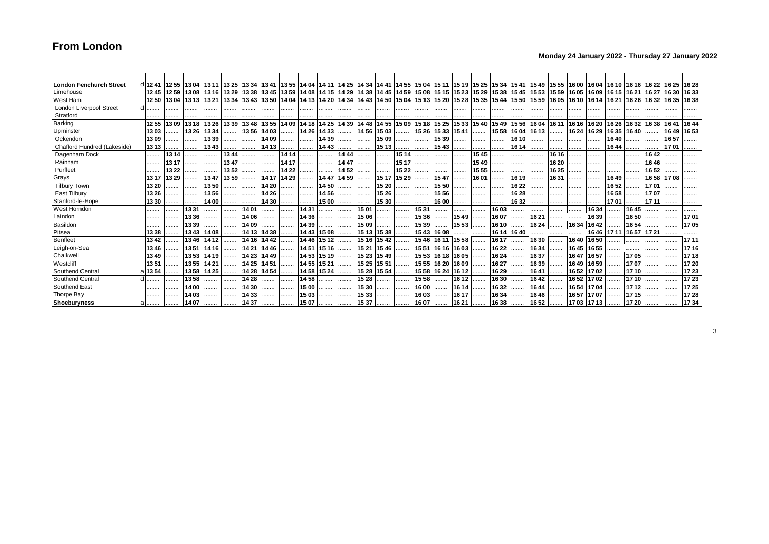### **Monday 24 January 2022 - Thursday 27 January 2022**

| <b>London Fenchurch Street</b> |        | d 12 41  12 55  13 04  13 11  13 25  13 34  13 41  13 55  14 04  14 11  14 25  14 34  14 41  14 55  15 04  15 10  15 25  15 34  15 41  15 49  15 55  16 00  16 04  16 10  16 16  16 22  16 23  16 28  16 28  16 28  16 28  16 |             |             |      |             |                                                                                     |       |       |             |       |       |             |       |                   |             |             |       |                            |             |       |                   |             |             |                            |       |       |             |       |
|--------------------------------|--------|-------------------------------------------------------------------------------------------------------------------------------------------------------------------------------------------------------------------------------|-------------|-------------|------|-------------|-------------------------------------------------------------------------------------|-------|-------|-------------|-------|-------|-------------|-------|-------------------|-------------|-------------|-------|----------------------------|-------------|-------|-------------------|-------------|-------------|----------------------------|-------|-------|-------------|-------|
| Limehouse                      |        |                                                                                                                                                                                                                               |             |             |      |             |                                                                                     |       |       |             |       |       |             |       |                   |             |             |       |                            |             |       |                   |             |             |                            |       |       |             |       |
| West Ham                       |        | 12 50  13 04  13 13  13 21  13 34  13 43  13 50  14 04  14 13  14 20  14 34  14 43  14 50  15 04  15 13  15 20  15 35  15 44  15 50  15 59  16 05  16 10  16 14  16 21  16 21  16 32  16 32  16 32  16 32  16 33              |             |             |      |             |                                                                                     |       |       |             |       |       |             |       |                   |             |             |       |                            |             |       |                   |             |             |                            |       |       |             |       |
| <b>London Liverpool Street</b> | .      |                                                                                                                                                                                                                               |             | .           | .    | .           | .                                                                                   |       |       |             | .     |       | .           | .     |                   | .           | .           |       | .                          | .           | .     |                   |             | .           | .                          |       | .     |             |       |
| Stratford                      |        |                                                                                                                                                                                                                               |             |             |      |             |                                                                                     |       |       |             |       |       |             |       |                   |             |             |       |                            |             |       |                   |             |             |                            |       |       |             |       |
| Barking                        | 12 55  | 1309                                                                                                                                                                                                                          | 13 18 13 26 |             |      |             | 13 39 13 48 13 55 14 09 14 18 14 25 14 39 14 48 14 55 15 09 15 18 15 25 15 33 15 40 |       |       |             |       |       |             |       |                   |             |             |       | 1549                       | 15 56 16 04 |       | 16 11 16 16 16 20 |             |             | 16 26 16 32 16 38          |       |       | 1641        | 1644  |
| Upminster                      | 1303   | .                                                                                                                                                                                                                             | 13 26 13 34 |             |      |             | 13 56 14 03                                                                         |       |       | 14 26 14 33 |       | 14 56 | 15 03       | .     | 15 26 15 33 15 41 |             |             |       | 15 58 16 04 16 13          |             |       | .                 |             |             | 16 24  16 29  16 35  16 40 |       |       | 16 49 16 53 |       |
| Ockendon                       | 13 09  |                                                                                                                                                                                                                               |             | 13 39       |      |             | 14 09                                                                               |       |       | 14 39       |       |       | 15 09       | .     |                   | 15 39       |             |       |                            | 16 10       |       |                   |             | .           | 16 40                      |       |       | 1657        |       |
| Chafford Hundred (Lakeside)    | 13 13  |                                                                                                                                                                                                                               | .           | 1343        |      | .           | 14 13                                                                               | .     |       | 14 43       |       |       | 15 13       | .     | .                 | 15 43       | .           |       |                            | 16 14       |       |                   | .           | .           | 16 44                      |       | .     | 1701        |       |
| Dagenham Dock                  |        | 13 14                                                                                                                                                                                                                         | .           | .           | 1344 |             | .                                                                                   | 14 14 |       | .           | 14 44 | .     | .           | 15 14 |                   |             |             | 1545  | .                          | .           |       | 16 16             | .           | .           | .                          |       | 1642  |             |       |
| Rainham                        | .      | 13 17                                                                                                                                                                                                                         | .           | .           | 1347 |             | .                                                                                   | 14 17 | .     | .           | 1447  | .     | .           | 15 17 |                   |             |             | 15 49 | .                          | .           | .     | 16 20             | .           | .           |                            |       | 16 46 |             |       |
| Purfleet                       |        | 13 22                                                                                                                                                                                                                         | .           |             | 1352 | .           |                                                                                     | 14 22 |       | .           | 14 52 |       | .           | 15 22 |                   |             |             | 15 55 | .                          |             | .     | 16 25             | .           |             |                            |       | 16 52 |             |       |
| Grays                          | 13 17  | 13 29                                                                                                                                                                                                                         |             | 1347        | 1359 |             | 14 17 14 29                                                                         |       |       | 14 47 14 59 |       | .     | 15 17       | 15 29 |                   | 1547        |             | 1601  | .                          | 16 19       |       | 16 31             | .           | .           | 16 49                      |       | 16 58 | 17 08       |       |
| <b>Tilbury Town</b>            | 13 20  | .                                                                                                                                                                                                                             | .           | 1350        | .    | .           | 14 20                                                                               | .     | .     | 14 50       | .     |       | 15 20       | .     | .                 | 15 50       |             |       | .                          | 16 22       | .     |                   |             | .           | 16 52                      | .     | 1701  |             |       |
| East Tilbury                   | 13 26  | .                                                                                                                                                                                                                             | .           | 1356        |      | .           | 14 26                                                                               |       | .     | 14 56       |       |       | 15 26       | .     |                   | 15 56       |             | .     | .                          | 16 28       | .     |                   | .           | .           | 16 58                      |       | 1707  |             |       |
| Stanford-le-Hope               | 13 30  | .                                                                                                                                                                                                                             |             | 14 00       |      |             | 14 30                                                                               | .     |       | 15 00       | .     |       | 15 30       |       |                   | 16 00       |             |       |                            | 16 32       | .     |                   |             | .           | 1701                       |       | 17 11 |             |       |
| West Horndon                   |        | .                                                                                                                                                                                                                             | 1331        | .           |      | 14 01       | .                                                                                   | .     | 14 31 | .           |       | 15 01 | .           | .     | 15 31             |             | .           | .     | 16 03                      | .           |       |                   |             | 16 34       | .                          | 1645  |       |             |       |
| Laindon                        |        | .                                                                                                                                                                                                                             | 1336        | .           |      | 14 06       |                                                                                     | .     | 14 36 | .           |       | 1506  | .           | .     | 15 36             | .           | 1549        | .     | 16 07                      | .           | 16 21 | .                 | .           | 16 39       | .                          | 16 50 |       |             | 1701  |
| Basildon                       |        |                                                                                                                                                                                                                               | 1339        |             |      | 14 09       | .                                                                                   | .     | 14 39 | .           | .     | 15 09 | .           | .     | 15 39             |             | 15 53       |       | 16 10                      |             | 16 24 |                   |             | 16 34 16 42 |                            | 16 54 |       | .           | 1705  |
| Pitsea                         | 13 38  |                                                                                                                                                                                                                               | 13 43       | 14 08       |      | 14 13 14 38 |                                                                                     |       | 14 43 | 15 08       | .     |       | 15 13 15 38 | .     |                   | 15 43 16 08 |             |       | 16 14 16 40                |             |       |                   |             |             | 16 46 17 11 16 57 17 21    |       |       |             |       |
| Benfleet                       | 13 42  |                                                                                                                                                                                                                               | 1346        | 14 12       |      | 14 16 14 42 |                                                                                     |       | 14 46 | 15 12       |       | 15 16 | 1542        | .     | 15 46             |             | 16 11 15 58 | .     | 16 17                      | .           | 16 30 | .                 | 1640        | 16 50       |                            | .     |       |             | 17 11 |
| Leigh-on-Sea                   | 1346   |                                                                                                                                                                                                                               |             | 13 51 14 16 |      | 14 21 14 46 |                                                                                     |       | 14 51 | 15 16       |       | 15 21 | 15 46       | .     | 15 51 16 16 16 03 |             |             | .     | 16 22                      | .           | 16 34 |                   | 1645        | 16 55       |                            |       |       |             | 17 16 |
| Chalkwell                      | 13 49  |                                                                                                                                                                                                                               | 13 53 14 19 |             |      | 14 23 14 49 |                                                                                     |       | 14 53 | 15 19       | .     | 15 23 | 15 49       | .     | 15 53 16 18 16 05 |             |             |       | 16 24                      | .           | 16 37 | .                 | 1647        | 16 57       | .                          | 1705  |       |             | 1718  |
| Westcliff                      | 13 51  |                                                                                                                                                                                                                               | 13 55 14 21 |             |      | 14 25 14 51 |                                                                                     |       | 14 55 | 15 21       | .     | 15 25 | 15 51       | .     | 15 55 16 20 16 09 |             |             | .     | 16 27                      | .           | 16 39 | .                 | 16 49       | 16 59       | .                          | 1707  |       |             | 17 20 |
| Southend Central               | a 1354 |                                                                                                                                                                                                                               | 13 58 14 25 |             | .    |             | 14 28 14 54                                                                         | .     | 14 58 | $1524$      |       | 15 28 | $1554$      |       | 15 58 16 24 16 12 |             |             |       | 16 29                      |             | 1641  |                   | 16 52       | 1702        | .                          | 17 10 |       |             | 1723  |
| Southend Central               | .      |                                                                                                                                                                                                                               | 1358        |             |      | 14 28       | .                                                                                   | .     | 1458  |             |       | 15 28 | .           | .     | 15 58             |             | 16 12       | .     | 16 30                      | .           | 1642  |                   | 16 52       | 1702        | .                          | 1710  |       | .           | 1723  |
| Southend East                  |        | .                                                                                                                                                                                                                             | 14 00       |             | .    | 14 30       | .                                                                                   |       | 15 00 | .           |       | 15 30 | .           |       | 16 00             |             | 16 14       | .     | 16 32                      | .           | 16 44 | .                 | 16 54 17 04 |             |                            | 1712  | .     | .           | 17 25 |
| Thorpe Bay                     | .      |                                                                                                                                                                                                                               | 14 03       | .           | .    | 14 33       | .                                                                                   | .     | 15 03 |             |       | 15 33 |             | .     | 16 03             |             | 16 17       | .     | 16 34                      | .           | 16 46 | .                 | 16 57       | 1707        |                            | 1715  |       |             | 17 28 |
| Shoeburyness                   |        |                                                                                                                                                                                                                               | $1407$      |             | .    | 14 37       |                                                                                     |       | 15 07 |             | .     | 15 37 |             |       | 16 07             |             |             |       | │  16 21    16 38    16 52 |             |       |                   |             |             | 17 03  17 13    17 20      |       |       |             | 1734  |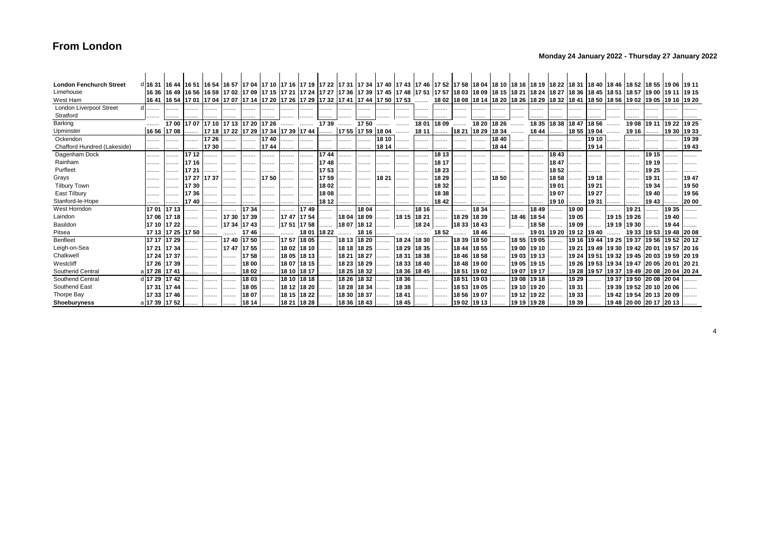### **Monday 24 January 2022 - Thursday 27 January 2022**

| <b>London Fenchurch Street</b> | d 16 31  16 44  16 51  16 54  16 57  17 04  17 10  17 16  17 19  17 22  17 31  17 34  17 40  17 43  17 46  17 52  17 58  18 04  18 10  18 16  18 19  18 22  18 31  18 40  18 46  18 52  18 55  19 06  19 11 |                   |       |       |                               |               |      |                                                |             |                       |             |                   |       |             |             |       |                   |             |                                                                                                                                                                                                                                 |             |             |       |       |                   |                               |             |                                                 |             |       |
|--------------------------------|-------------------------------------------------------------------------------------------------------------------------------------------------------------------------------------------------------------|-------------------|-------|-------|-------------------------------|---------------|------|------------------------------------------------|-------------|-----------------------|-------------|-------------------|-------|-------------|-------------|-------|-------------------|-------------|---------------------------------------------------------------------------------------------------------------------------------------------------------------------------------------------------------------------------------|-------------|-------------|-------|-------|-------------------|-------------------------------|-------------|-------------------------------------------------|-------------|-------|
| Limehouse                      |                                                                                                                                                                                                             |                   |       |       |                               |               |      |                                                |             |                       |             |                   |       |             |             |       |                   |             | 16 36 16 49 16 56 16 59 17 02 17 03 17 15 17 17 18 17 21 17 24 17 27 17 36 17 39 17 45 17 48 17 51 17 57 18 03 18 09 18 15 18 21 18 24 18 27 18 36 18 36 18 45 18 51 18 51 18 57 19 00 19 11 18 57 19 00 19 11 19 15            |             |             |       |       |                   |                               |             |                                                 |             |       |
| West Ham                       |                                                                                                                                                                                                             |                   |       |       |                               |               |      |                                                |             |                       |             |                   |       |             |             |       |                   |             | 16 19 10 19 10 11 10 14 10 10 11 14 16 19 10 11 12 20 12 13 14 14 15 10 12 14 14 17 14 17 14 17 14 17 14 17 29 17 29 17 29 17 29 17 29 17 29 17 29 17 29 17 29 17 29 17 29 17 29 17 29 17 44 17 50 17 50 17 50 17 50 18 02 18 0 |             |             |       |       |                   |                               |             |                                                 |             |       |
| <b>London Liverpool Street</b> | .                                                                                                                                                                                                           | .                 | .     | .     | .                             | .             | .    |                                                | .           | .                     |             |                   | .     | .           | .           | .     |                   | .           |                                                                                                                                                                                                                                 | .           | .           |       |       | .                 |                               |             |                                                 |             |       |
| Stratford                      |                                                                                                                                                                                                             |                   |       |       |                               |               |      |                                                |             |                       |             |                   |       |             |             |       |                   |             |                                                                                                                                                                                                                                 |             |             |       |       |                   |                               |             |                                                 |             |       |
| Barking                        |                                                                                                                                                                                                             | 1700              |       |       | 17 07 17 10 17 13 17 20 17 26 |               |      |                                                |             | 17 39                 |             | 1750              |       |             | 18 01       | 18 09 | .                 | 18 20       | 18 26                                                                                                                                                                                                                           |             | 18 35       | 18 38 |       | 18 47 18 56       |                               | 1908        | 19 11                                           | 19 22 19 25 |       |
| Upminster                      | 16 56 17 08                                                                                                                                                                                                 |                   |       |       |                               |               |      | 17 18 17 22 17 29 17 34 17 39 17 44            |             |                       |             | 17 55 17 59 18 04 |       |             | 18 11       | .     | 18 21 18 29 18 34 |             |                                                                                                                                                                                                                                 | .           | 18 44       | .     |       | 18 55 19 04       |                               | 19 16       | .                                               | 19 30 19 33 |       |
| Ockendon                       |                                                                                                                                                                                                             |                   |       | 17 26 |                               |               | 1740 | .                                              |             |                       |             |                   | 18 10 |             |             |       | .                 | .           | 1840                                                                                                                                                                                                                            |             |             |       |       | 19 10             |                               |             |                                                 |             | 1939  |
| Chafford Hundred (Lakeside)    |                                                                                                                                                                                                             |                   |       | 1730  |                               |               | 1744 | .                                              | .           | .                     |             | .                 | 18 14 |             | .           |       |                   | .           | 1844                                                                                                                                                                                                                            |             | .           |       | .     | 19 14             |                               |             |                                                 |             | 1943  |
| Dagenham Dock                  |                                                                                                                                                                                                             |                   | 1712  | .     |                               |               |      |                                                | .           | 1744                  | .           |                   | .     | .           | .           | 18 13 |                   | .           |                                                                                                                                                                                                                                 | .           | .           | 1843  | .     | .                 |                               | .           | 19 15                                           |             |       |
| Rainham                        |                                                                                                                                                                                                             |                   | 17 16 | .     | .                             | .             |      |                                                | .           | 1748                  |             |                   |       |             | .           | 18 17 |                   |             | .                                                                                                                                                                                                                               |             | .           | 18 47 | .     | .                 | .                             |             | 19 19                                           |             |       |
| Purfleet                       |                                                                                                                                                                                                             |                   |       |       |                               |               |      |                                                | .           | 1753                  |             | .                 |       |             | .           | 18 23 | .                 |             |                                                                                                                                                                                                                                 | .           |             | 1852  | .     |                   |                               |             | 19 25                                           | .           |       |
| Grays                          |                                                                                                                                                                                                             |                   | 17 27 | 1737  | .                             | .             | 1750 | .                                              | .           | 1759                  | .           | .                 | 18 21 |             | .           | 18 29 |                   | .           | 1850                                                                                                                                                                                                                            |             | .           | 1858  | .     | 19 18             |                               |             | 1931                                            |             | 19 47 |
| <b>Tilbury Town</b>            |                                                                                                                                                                                                             | .                 | 1730  | .     |                               |               | .    |                                                | .           | 1802                  |             |                   | .     | .           |             | 18 32 | .                 | .           |                                                                                                                                                                                                                                 |             | .           | 1901  | .     | 19 21             | .                             |             | 19 34                                           | .           | 1950  |
| East Tilbury                   |                                                                                                                                                                                                             |                   | 1736  | .     | .                             | .             | .    |                                                | .           | 1808                  |             |                   |       |             |             | 18 38 |                   |             | .                                                                                                                                                                                                                               |             | .           | 19 07 | .     | 19 27             |                               |             | 1940                                            |             | 1956  |
| Stanford-le-Hope               |                                                                                                                                                                                                             |                   | 1740  | .     |                               |               | .    | .                                              |             | 18 12                 |             |                   |       |             |             | 18 42 |                   | .           | .                                                                                                                                                                                                                               | .           | .           | 19 10 | .     | 1931              | .                             |             | 1943                                            |             | 20 00 |
| West Horndon                   | 1701                                                                                                                                                                                                        | 1713              |       |       |                               | 1734          |      | .                                              | 1749        | .                     |             | 18 04             | .     | .           | 18 16       | .     | .                 | 18 34       | .                                                                                                                                                                                                                               |             | 1849        | .     | 19 00 |                   | .                             | 19 21       | .                                               | 19 35       |       |
| Laindon                        |                                                                                                                                                                                                             | 17 06 17 18       | .     | .     |                               | 17 30 17 39 1 |      |                                                | 17 47 17 54 |                       |             | 18 04 18 09       | .     | 18 15 18 21 |             | .     | 18 29 18 39       |             | .                                                                                                                                                                                                                               | 18 46 18 54 |             |       | 1905  |                   | 19 15 19 26                   |             | .                                               | 1940        |       |
| Basildon                       |                                                                                                                                                                                                             | 17 10 17 22       | .     | .     | $1734$ 1743                   |               |      | 1751                                           |             | 17 58    18 07  18 12 |             |                   |       |             | 18 24       |       | 18 33 18 43       |             | .                                                                                                                                                                                                                               |             | 1858        |       | 19 09 |                   | 19 19 19 30                   |             |                                                 | 1944        |       |
| Pitsea                         |                                                                                                                                                                                                             | 17 13 17 25 17 50 |       |       |                               | 17 46         | .    | .                                              |             | 18 01 18 22           | .           | 18 16             | .     | .           | .           | 18 52 |                   | 1846        |                                                                                                                                                                                                                                 | .           | 19 01 19 20 |       |       | 19 12 19 40       |                               |             | 19 33 19 53 19 48 20 08                         |             |       |
| Benfleet                       | 17 17 17 29                                                                                                                                                                                                 |                   |       |       | 1740                          | 1750          |      | 1757                                           | 18 05       |                       | 18 13       | 18 20             |       | 18 24       | 18 30       | .     | 18 39 18 50       |             | .                                                                                                                                                                                                                               | 18 55 19 05 |             |       |       | 19 16 19 44 19 25 |                               | 19 37 19 56 |                                                 | 19 52 20 12 |       |
| Leigh-on-Sea                   |                                                                                                                                                                                                             | 17 21 17 34       | .     | .     | 1747                          | 1755          | .    | 1802                                           | 18 10       | .                     | 18 18 18 25 |                   | .     | 18 29       | 18 35       | .     | 18 44 18 55       |             | .                                                                                                                                                                                                                               | 19 00 19 10 |             | .     |       |                   | 19 21 19 49 19 30 19 42 20 01 |             |                                                 | 1957        | 20 16 |
| Chalkwel                       | 17 24 17 37                                                                                                                                                                                                 |                   |       | .     |                               | 1758          |      | 18 05                                          | 18 13       |                       | 18 21       | 18 27             | .     | 18 31       | 18 38       |       | 18 46 18 58       |             | .                                                                                                                                                                                                                               | 19 03 19 13 |             | .     |       |                   |                               |             | 19 24  19 51  19 32  19 45  20 03  19 59  20 19 |             |       |
| Westcliff                      | 17 26 17 39                                                                                                                                                                                                 |                   |       | .     |                               | 18 00         | .    | 1807                                           | 18 15       | .                     | 18 23 18 29 |                   | .     | 1833        | 18 40       |       | 18 48             | 19 00       |                                                                                                                                                                                                                                 | 19 05 19 15 |             | .     |       |                   |                               |             | 19 26 19 53 19 34 19 47 20 05 20 01 20 21       |             |       |
| Southend Central               | al 17 28   17 41                                                                                                                                                                                            |                   | .     |       | .                             | 18 02         |      | 18 10                                          | 18 17       |                       |             | 18 25 18 32       | .     |             | 18 36 18 45 |       | 18 51 19 02       |             |                                                                                                                                                                                                                                 | 1907        | 19 17       | .     |       |                   | 19 28 19 57 19 37 19 49 20 08 |             |                                                 | 20 04 20 24 |       |
| Southend Central               | d 17 29 17 42                                                                                                                                                                                               |                   | .     |       | .                             | 1803          | .    | 18 10                                          | 18 18       | .                     | 18 26       | 1832              | .     | 18 36       | .           | .     | 1851              | 1903        | .                                                                                                                                                                                                                               | 19 08 19 18 |             | .     | 19 29 | .                 | 1937                          | 19 50 20 08 |                                                 | 20 04       |       |
| Southend East                  | 17 31 17 44                                                                                                                                                                                                 |                   |       | .     | .                             | 1805          | .    | 18 12 18 20                                    |             | .                     | 18 28       | 18 34             | .     | 18 38       | .           | .     | 18 53 19 05       |             | .                                                                                                                                                                                                                               | 19 10 19 20 |             |       | 19 31 |                   | 19 39 19 52 20 10             |             |                                                 | 20 06       |       |
| Thorpe Bay                     | 17 33 17 46                                                                                                                                                                                                 |                   |       | .     |                               | 1807          | .    | 18 15 18 22                                    |             | .                     | 18 30       | 18 37             | .     | 1841        | .           | .     |                   | 18 56 19 07 | .                                                                                                                                                                                                                               | 19 12 19 22 |             | .     | 1933  | .                 |                               |             | 19 42 19 54 20 13 20 09                         |             |       |
| <b>Shoeburyness</b>            | a 17 39 17 52                                                                                                                                                                                               |                   |       | .     |                               |               |      | 18 14    18 21  18 28    18 36  18 43    18 45 |             |                       |             |                   |       |             |             |       | 19 02  19 13      |             |                                                                                                                                                                                                                                 | 19 19 19 28 |             | .     | 19 39 |                   |                               |             | $1948$ 20 00 20 17 20 13                        |             |       |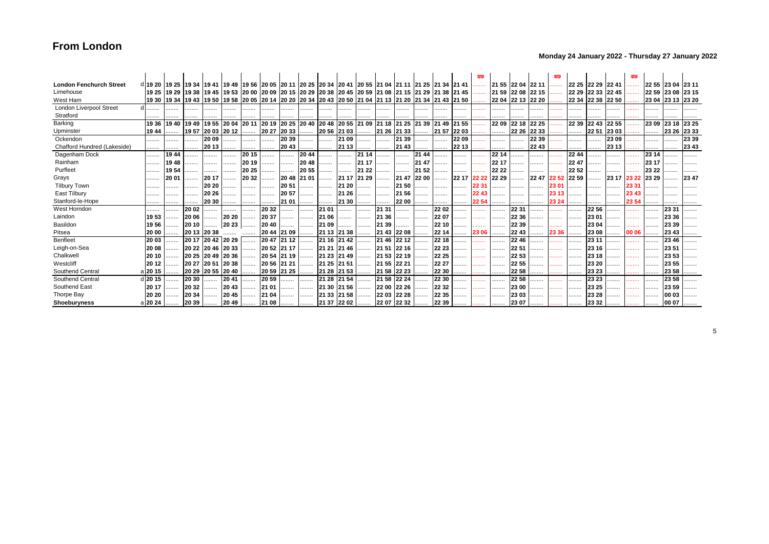### **Monday 24 January 2022 - Thursday 27 January 2022**

|                                |                                                                                                                         |                                                                                                                |             |                   |       |       |                                                                        |             |             |                                                                                           |             |       |             |             |       |             |         |       |                   |             |       | ₩       |       |                     |                   | œ     |                   |                   |       |
|--------------------------------|-------------------------------------------------------------------------------------------------------------------------|----------------------------------------------------------------------------------------------------------------|-------------|-------------------|-------|-------|------------------------------------------------------------------------|-------------|-------------|-------------------------------------------------------------------------------------------|-------------|-------|-------------|-------------|-------|-------------|---------|-------|-------------------|-------------|-------|---------|-------|---------------------|-------------------|-------|-------------------|-------------------|-------|
| <b>London Fenchurch Street</b> | di19 20 i19 25 i19 34 i19 41 i19 49 i19 56 i20 05 i20 11 i20 25 i20 34 i20 41 i20 55 i21 04 i21 11 i21 25 i21 34 i21 41 |                                                                                                                |             |                   |       |       |                                                                        |             |             |                                                                                           |             |       |             |             |       |             |         | .     | 21 55 22 04 22 11 |             |       | .       |       | 22 25  22 29  22 41 |                   |       |                   | 22 55 23 04 23 11 |       |
| Limehouse                      |                                                                                                                         | 19 25 21 29 21 38 21 45 20 30 20 30 20 30 20 30 20 30 20 30 21 31 32 34 35 36 36 36 36 36 36 36 37 36 36 36 36 |             |                   |       |       |                                                                        |             |             |                                                                                           |             |       |             |             |       |             |         |       | 21 59 22 08 22 15 |             |       | .       |       |                     | 22 29 22 33 22 45 |       | 22 59             | 23 08 23 15       |       |
| West Ham                       |                                                                                                                         | 19 30 19 34 19 43 19 50                                                                                        |             |                   |       |       |                                                                        |             |             | 19 58  20 05  20 14  20 20  20 34  20 43  20 50  21 04  21 13  21 20  21 34  21 43  21 50 |             |       |             |             |       |             |         |       | 22 04 22 13 22 20 |             |       |         |       |                     | 22 34 22 38 22 50 |       | 23 04 23 13 23 20 |                   |       |
| <b>London Liverpool Street</b> |                                                                                                                         |                                                                                                                |             |                   | .     | .     |                                                                        |             | .           | .                                                                                         |             | .     | .           | .           | .     |             |         | .     | .                 | .           | .     |         |       |                     |                   |       |                   |                   |       |
| Stratford                      |                                                                                                                         |                                                                                                                |             |                   |       |       |                                                                        |             |             |                                                                                           |             |       |             |             |       |             |         |       |                   |             |       |         |       |                     |                   |       |                   |                   |       |
| Barking                        | 19 36                                                                                                                   | 1940                                                                                                           | 1949        | 1955              | 20 04 |       | 20 11 20 19                                                            |             | 20 25 20 40 | 20 48 20 55 21 09 21 18 21 25 21 39 21 49                                                 |             |       |             |             |       |             | 21 55   |       | 22 09             | 22 18 22 25 |       |         | 22 39 | 22 43               | 22 55             |       | 23 09             | 23 18             | 23 25 |
| Upminster                      | 19 44                                                                                                                   | .                                                                                                              |             | 19 57 20 03       | 20 12 |       | 20 27                                                                  | 20 33       | .           | 20 56 21 03                                                                               |             | .     |             | 21 26 21 33 |       | 21 57 22 03 |         |       | .                 | 22 26 22 33 |       | .       | .     | 22 51               | 23 03             |       |                   | 23 26             | 23 33 |
| Ockendon                       |                                                                                                                         | .                                                                                                              | .           | 20 09             |       |       | .                                                                      | 20 39       |             |                                                                                           | 21 09       |       | .           | 21 39       | .     |             | 22 09   |       | .                 |             | 22 39 |         | .     |                     | 23 09             |       | .                 |                   | 23 39 |
| Chafford Hundred (Lakeside)    |                                                                                                                         | .                                                                                                              | .           | 20 13             |       |       | .                                                                      | 2043        | .           |                                                                                           | 21 13       | .     | .           | 21 43       | .     | .           | 22 13   |       | .                 | .           | 22 43 |         |       |                     | 23 13             |       |                   |                   | 23 43 |
| Dagenham Dock                  |                                                                                                                         | 1944                                                                                                           | .           | .                 | .     | 20 15 |                                                                        | .           | 20 44       |                                                                                           |             | 21 14 |             |             | 21 44 |             | .       | .     | 22 14             |             | .     |         | 22 44 |                     |                   |       | 23 14             |                   |       |
| Rainham                        | .                                                                                                                       | 1948                                                                                                           | .           | .                 | .     | 20 19 | .                                                                      | .           | 20 48       | .                                                                                         |             | 21 17 | .           | .           | 21 47 |             | .       | .     | 22 17             |             | .     | 1.1.1.1 | 2247  |                     | .                 |       | 23 17             | .                 | .     |
| Purfleet                       |                                                                                                                         | 1954                                                                                                           |             | .                 | .     | 20 25 |                                                                        | .           | 20 55       |                                                                                           |             | 21 22 | .           |             | 21 52 | .           |         | .     | 22 22             |             |       |         | 22 52 |                     |                   |       | 23 22             |                   |       |
| Grays                          | .                                                                                                                       | 20 01                                                                                                          |             | 20 17             | .     | 20 32 | .                                                                      | 20 48 21 01 |             |                                                                                           | 21 17 21 29 |       | .           | 21 47 22 00 |       | .           | 22 17 I | 22 22 | 22 29             |             | 2247  | 22.52   | 22 59 |                     | 23 17 23 22       |       | 23 29             |                   | 2347  |
| <b>Tilbury Town</b>            | .                                                                                                                       |                                                                                                                |             | 20 20             |       |       | .                                                                      | 20 51       | .           | .                                                                                         | 21 20       | .     | .           | 21 50       | .     |             | .       | 22 31 | .                 |             | .     | 23 01   |       |                     | .                 | 23 31 |                   |                   |       |
| East Tilbury                   |                                                                                                                         | .                                                                                                              | .           | 20 26             | .     | .     | .                                                                      | 20 57       |             |                                                                                           | 21 26       | .     | .           | 21 56       |       |             | .       |       | .                 |             |       |         | .     |                     | .                 |       |                   | .                 |       |
| Stanford-le-Hope               |                                                                                                                         | .                                                                                                              |             | 20 30             |       |       |                                                                        | 21 01       | .           | .                                                                                         | 21 30       |       |             | 22 00       | .     |             |         | 22 54 | .                 |             |       | 23 24   |       |                     |                   |       |                   |                   |       |
| West Horndon                   |                                                                                                                         | .                                                                                                              | 20 02       | .                 | .     | .     | 20 32                                                                  | .           | .           | 21 01                                                                                     |             |       | 21 31       |             | .     | 22 02       | .       | .     | .                 | 22 31       | .     |         |       | 22 56               |                   |       |                   | 23 31             |       |
| Laindon                        | 1953                                                                                                                    |                                                                                                                | 20 06       |                   | 20 20 |       | 20 37                                                                  | .           | .           | 21 06                                                                                     |             | .     | 21 36       |             | .     | 22 07       |         | .     | .                 | 22 36       | .     |         |       | 23 01               | .                 |       |                   | 23 36             |       |
| Basildon                       | 1956                                                                                                                    |                                                                                                                | 20 10       |                   | 20 23 |       | 20 40                                                                  | .           | .           | 21 09                                                                                     |             | .     | 21 39       |             | .     | 22 10       | .       | .     | .                 | 22 39       | .     |         | .     | 23 04               | .                 |       |                   | 23 39             |       |
| Pitsea                         | 20 00                                                                                                                   |                                                                                                                | 20 13 20 38 |                   |       |       | 20 44 21 09                                                            |             | .           | 21 13 21 38                                                                               |             |       |             | 21 43 22 08 | .     | 22 14       | .       | 23 06 | .                 | 22 43       | .     | 23 36   |       | 23 08               | .                 | 00 06 |                   | 23 43             |       |
| Benfleet                       | 20 03                                                                                                                   |                                                                                                                | 20 17       | 2042              | 2029  |       | 2047                                                                   | 21 12       |             | 21 16 21 42                                                                               |             |       | 21 46       | 22 12       |       | 22 18       | .       | .     | .                 | 22 46       |       |         |       | 23 11               |                   |       |                   | 23 46             |       |
| Leigh-on-Sea                   | 20 08                                                                                                                   | .                                                                                                              |             | 20 22 20 46 20 33 |       |       | 20 52 21 17                                                            |             | .           | 21 21 21 46                                                                               |             |       | 21 51       | 22 16       |       | 22 23       |         | .     | .                 | 225         | .     |         | .     | 23 16               |                   |       |                   | 23 51             |       |
| Chalkwell                      | 20 10                                                                                                                   |                                                                                                                | 20 25 20 49 |                   | 20 36 |       | 20 54 21 19                                                            |             |             | 21 23 21 49                                                                               |             | .     |             | 21 53 22 19 |       | 22 25       | .       | .     | .                 | 22 53       |       |         |       | 23 18               |                   |       |                   | 23 53             |       |
| Westcliff                      | 20 12                                                                                                                   | .                                                                                                              | 20 27 20 51 |                   | 20 38 |       | 20 56 21 21                                                            |             | .           | 21 25 21 51                                                                               |             |       | 21 55 22 21 |             | .     | 22 27       | .       | .     | .                 | 22 55       |       |         | .     | 23 20               |                   |       | .                 | 23 55             |       |
| Southend Central               | a <b>20 15</b>                                                                                                          |                                                                                                                | 20 29       | 20 55             | 20 40 | .     | 20 59 21 25                                                            |             | .           | 21 28 21 53                                                                               |             | .     |             | 21 58 22 23 | .     | 22 30       |         | .     | .                 | 22 58       |       | .       |       | 23 23               |                   |       |                   | 23 58             |       |
| Southend Central               | d 20 15                                                                                                                 | .                                                                                                              | 20 30       | .                 | 2041  | .     | 20 59                                                                  | .           | .           | 21 28 21 54                                                                               |             | .     | 21 58       | 22 24       |       | 22 30       |         | .     | .                 | 22 58       | .     |         |       | 23 23               |                   |       |                   | 23 58             |       |
| Southend East                  | 20 17                                                                                                                   | .                                                                                                              | 20 32       | .                 | 20 43 | .     | 21 01                                                                  | .           | .           | 21 30                                                                                     | 21 56       | .     | 22 00       | 22 26       | .     | 22 32       | .       | .     | .                 | 23 00       | .     | .       | .     | 23 25               |                   |       | .                 | 23 59             |       |
| Thorpe Bay                     | 20 20                                                                                                                   |                                                                                                                | 20 34       |                   | 20 45 |       | 21 04                                                                  | .           | .           | 21 33 21 58                                                                               |             | .     |             | 22 03 22 28 | .     | 22 35       | .       | .     | .                 | 23 03       |       |         | .     | 23 28               |                   |       |                   | 00 03             |       |
| Shoeburyness                   | a 20 24                                                                                                                 |                                                                                                                | 20 39       |                   |       |       | $\begin{array}{ c c c c c }\n\hline\n2049 & \dots & 2108\n\end{array}$ |             |             | 21 37 22 02                                                                               |             |       |             | 22 07 22 32 |       | 22 39       | .       | .     |                   | 23 07       |       |         | .     | 23 32               |                   |       |                   | 00 07             |       |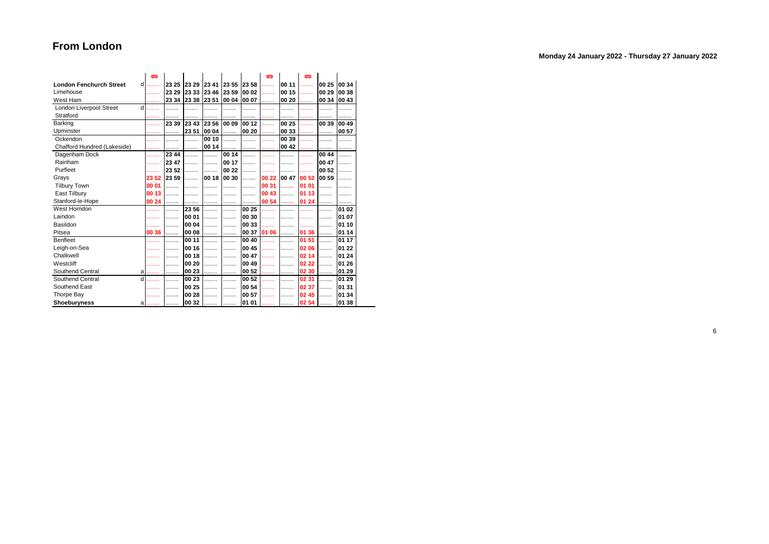|  | Monday 24 January 2022 - Thursday 27 January 2022 |  |  |
|--|---------------------------------------------------|--|--|
|--|---------------------------------------------------|--|--|

|                                | 嘾             |       |        |       |       |          | 罒     |       | 四     |       |       |
|--------------------------------|---------------|-------|--------|-------|-------|----------|-------|-------|-------|-------|-------|
| <b>London Fenchurch Street</b> | d<br>.        | 23 25 | 23 29  | 23 41 | 23 55 | 23 58    | .     | 00 11 | .     | 00 25 | 00 34 |
| Limehouse                      | .             | 23 29 | 23 33  | 23 46 | 23 59 | 00 02    | .     | 00 15 | .     | 00 29 | 00 38 |
| West Ham                       | .             | 23 34 | 23 38  | 23 51 | 00 04 | 100 07   | .     | 00 20 |       | 00 34 | 00 43 |
| London Liverpool Street        | d<br>$\cdots$ |       | .      | .     |       |          |       | .     |       | .     |       |
| Stratford                      | .             |       | .      | .<br> | .     |          |       | .     |       |       | .     |
| Barking                        | .             | 23 39 | 23 43  | 23 56 | 00 09 | 00 12    | .     | 00 25 | .     | 00 39 | 00 49 |
| Upminster                      | .             | .     | 23 51  | 00 04 | .     | 00 20    | .     | 00 33 |       | .     | 00 57 |
| Ockendon                       | .             | .     | .      | 00 10 | .     | .        | .     | 00 39 | .     | .     | .     |
| Chafford Hundred (Lakeside)    | .             |       | .      | 00 14 | .     | .        | .     | 00 42 |       |       |       |
| Dagenham Dock                  | .             | 23 44 | .      | .     | 00 14 |          |       | .     |       | 00 44 |       |
| Rainham                        | .             | 23 47 | .      | .     | 00 17 | .        |       | .     | .     | 00 47 |       |
| Purfleet                       | .             | 23 52 | .      |       | 00 22 | $\cdots$ |       |       |       | 00 52 |       |
| Grays                          | 23 52         | 23 59 |        | 00 18 | 00 30 | .        | 00 22 | 00 47 | 00 52 | 00 59 |       |
| <b>Tilbury Town</b>            | 00 01         |       |        |       |       |          | 00 31 |       | 01 01 |       |       |
| East Tilbury                   | 00 13         |       |        |       |       |          | 00 43 | .     | 01 13 |       |       |
| Stanford-le-Hope               | 00 24         |       |        |       | .     |          | 00 54 | .     | 01 24 |       |       |
| West Horndon                   | .             |       | 23 56  | .     |       | 00 25    | .     |       |       |       | 01 02 |
| Laindon                        |               |       | 00 01  |       |       | 00 30    |       |       |       |       | 01 07 |
| Basildon                       |               |       | 00 04  | .     | .     | 00 33    | .     | .     |       | .     | 01 10 |
| Pitsea                         | 00 36         |       | 00 08  |       |       | 00 37    | 01 06 | .     | 01 36 | .     | 01 14 |
| <b>Benfleet</b>                | .             | .     | 00 11  | .     | .     | 00 40    | .     | .     | 01 51 | .     | 01 17 |
| Leigh-on-Sea                   |               |       | 00 16  | .     |       | 00 45    |       | .     | 02 06 | .     | 01 22 |
| Chalkwell                      | .             |       | 100 18 | .     | .     | 00 47    | .     | .     | 02 14 | .     | 01 24 |
| Westcliff                      |               |       | 00 20  |       |       | 00 49    |       | .     | 02 22 | .     | 01 26 |
| Southend Central               | a<br>         | .     | 00 23  | .     |       | 00 52    | .     | .     | 02 30 | .     | 01 29 |
| Southend Central               | d<br>.        | .     | 00 23  | .     | .     | 00 52    | .     | .     | 02 31 | .     | 01 29 |
| Southend East                  | .             |       | 00 25  | .     |       | 00 54    | .     |       | 02 37 | .     | 01 31 |
| <b>Thorpe Bay</b>              |               |       | 00 28  |       |       | 00 57    |       |       | 02 45 |       | 01 34 |
| Shoeburyness                   | a<br>.        | .     | 00 32  |       | .     | 01 01    | .     |       | 02 54 | .     | 01 38 |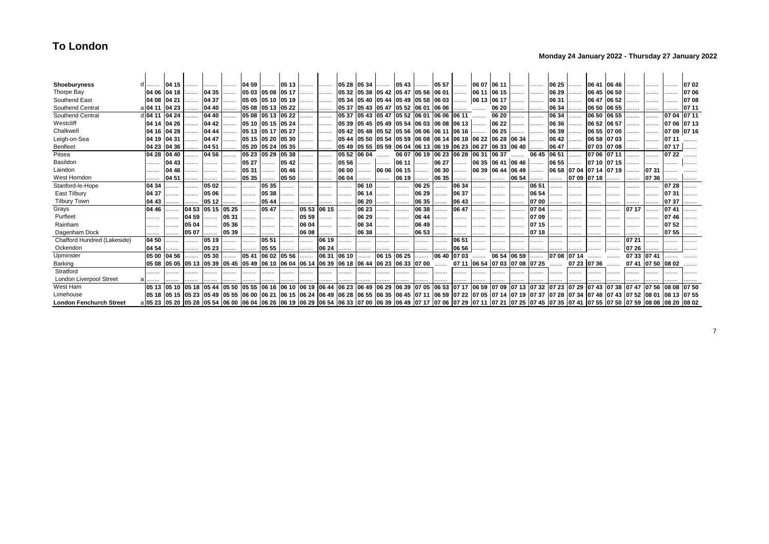| Shoeburyness                   |                                                                                                                                                                                                             | 04 15                                                 |       |       |       | 04 59       | .                 | 105 13 |       | .     |       | 05 28 05 34             | .     | 05 43                                                                 | .           | 05 57             |       |             | 06 07 06 11                         |        | .                       | 06 25 | .     |             | 06 41 06 46                                                                                                                                |       |             | .           | 07 02 |
|--------------------------------|-------------------------------------------------------------------------------------------------------------------------------------------------------------------------------------------------------------|-------------------------------------------------------|-------|-------|-------|-------------|-------------------|--------|-------|-------|-------|-------------------------|-------|-----------------------------------------------------------------------|-------------|-------------------|-------|-------------|-------------------------------------|--------|-------------------------|-------|-------|-------------|--------------------------------------------------------------------------------------------------------------------------------------------|-------|-------------|-------------|-------|
| Thorpe Bay                     |                                                                                                                                                                                                             | 04 06 04 18                                           | .     | 04 35 |       |             | 05 03 05 08 05 17 |        |       |       | 05 32 | 05 38 05 42 05 47       |       |                                                                       | 05 56 06 01 |                   | .     |             | 06 11 06 15                         | .      |                         | 06 29 | .     |             | 06 45 06 50                                                                                                                                |       |             |             | 0706  |
| Southend East                  | 04 08 04 21                                                                                                                                                                                                 |                                                       | .     | 04 37 | .     |             | 05 05 05 10 05 19 |        |       | .     |       |                         |       | 05 34   05 40   05 44   05 49   05 58   06 03                         |             |                   |       | 06 13 06 17 |                                     |        | .                       | 06 31 | .     |             | 06 47 06 52                                                                                                                                |       |             |             | 0708  |
| Southend Central               | a 04 11                                                                                                                                                                                                     | 04 23                                                 |       | 04 40 |       |             | 05 08 05 13 05 22 |        |       |       | 05 37 |                         |       | 05 43 05 47 05 52 06 01                                               |             | 06 06             |       |             | 06 20                               | .      |                         | 06 34 |       |             | 06 50 06 55                                                                                                                                |       |             |             | 07 11 |
| Southend Central               | d <b>04</b> 11                                                                                                                                                                                              | 04 24                                                 | .     | 04 40 | .     |             | 05 08 05 13 05 22 |        |       | .     |       | 05 37 05 43             |       | 05 47 05 52 06 01                                                     |             | 06 06 06 11       |       |             | 06 20                               |        | .                       | 06 34 | .     |             | 06 50 06 55                                                                                                                                |       |             | 0704        | 07 11 |
| Westcliff                      | 04 14                                                                                                                                                                                                       | 04 26                                                 | .     | 04 42 |       |             | 05 10 05 15 05 24 |        | .     | .     | 05 39 |                         |       | 05 45 05 49 05 54 06 03                                               |             | 06 08             | 06 13 | .           | 06 22                               |        | .                       | 06 36 | .     | 06 52 06 57 |                                                                                                                                            |       | .           | 07 06       | 0713  |
| Chalkwell                      | 04 16                                                                                                                                                                                                       | 04 28                                                 | .     | 04 44 |       |             | 05 13 05 17 05 27 |        |       | .     |       | 05 42 05 48 05 52 05 56 |       |                                                                       | 06 06       | 06 11 06 16       |       | .           | 06 25                               |        |                         | 06 39 | .     |             | 06 55 07 00                                                                                                                                |       |             | 07 09 07 16 |       |
| Leigh-on-Sea                   | 04 19                                                                                                                                                                                                       | 04 31                                                 | .     | 04 47 | .     | 05 15 05 20 |                   | 05 30  |       |       |       | 05 44 05 50             |       | 05 54 05 59                                                           |             |                   |       |             | 06 08 06 14 06 18 06 22 06 28 06 34 |        |                         | 06 42 | .     | 06 58 07 03 |                                                                                                                                            | .     |             |             |       |
| <b>Benfleet</b>                | 04 23                                                                                                                                                                                                       | 04 36                                                 |       | 04 51 |       |             | 05 20 05 24 05 35 |        |       |       |       |                         |       | l05 49 l05 55 l05 59 l06 04 l06 13 l06 19 l06 23 l06 27 l06 33 l06 40 |             |                   |       |             |                                     |        |                         | 06 47 |       |             | 07 03 07 08                                                                                                                                |       |             | 0717        |       |
| Pitsea                         | 04 28                                                                                                                                                                                                       | 04 40                                                 | .     | 04 56 |       | 05 23       | 05 29             | 05 38  |       |       | 05 52 | 06 04                   | .     | 06 07                                                                 | 06 19       | 06 23             | 06 28 | 06 31       | 06 37                               |        | 06 45                   | 06 51 | .     |             | 07 06 07 11                                                                                                                                |       |             | 07 22       |       |
| Basildon                       | .                                                                                                                                                                                                           | 04 43                                                 | .     | .     |       | 05 27       | .                 | 05 42  |       | .     | 05 56 |                         |       | 06 11                                                                 |             | 06 27             | .     |             | 06 35 06 41 06 46                   |        |                         | 06 55 | .     | 07 10 07 15 |                                                                                                                                            |       |             |             |       |
| Laindon                        | .                                                                                                                                                                                                           | 04 46                                                 |       |       |       | 0531        | .                 | 05 46  |       |       | 06 00 |                         |       | 06 06 06 15                                                           | .           | 06 30             |       | 06 39 06 44 |                                     | 106 49 | .                       |       |       |             | 06 58 07 04 07 14 07 19                                                                                                                    |       | 0731        |             |       |
| West Horndon                   | .                                                                                                                                                                                                           | 04 51                                                 | .     | .     | .     | 05 35       | .                 | 05 50  |       | .     | 06 04 |                         |       | 06 19                                                                 |             | 06 35             |       | .           | .                                   | 06 54  |                         | .     | 0709  | 0718        |                                                                                                                                            | .     | 0736        |             |       |
| Stanford-le-Hope               | 04 34                                                                                                                                                                                                       | .                                                     | .     | 05 02 | .     | .           | 05 35             | .      | .     |       | .     | 06 10                   |       | .                                                                     | 06 25       | .                 | 06 34 | .           |                                     |        | 06 51                   | .     | .     |             |                                                                                                                                            |       |             | 07 28       |       |
| East Tilbury                   | 04 37                                                                                                                                                                                                       |                                                       | .     | 05 06 |       |             | 05 38             | .      |       | .     | .     | 06 14                   | .     | .                                                                     | 06 29       |                   | 06 37 | .           |                                     |        | 06 54                   |       | .     |             | .                                                                                                                                          | .     | .           | 07 31       |       |
| <b>Tilbury Town</b>            | 04 43                                                                                                                                                                                                       |                                                       |       | 05 12 |       |             | 05 44             |        |       |       |       | 06 20                   |       |                                                                       | 06 35       |                   | 06 43 |             |                                     |        | 07 00                   |       |       |             |                                                                                                                                            |       |             | 0737        |       |
| Grays                          | 04 46                                                                                                                                                                                                       |                                                       | 04 53 | 05 15 | 05 25 |             | 05 47             |        | 05 53 | 06 15 |       | 06 23                   | .     |                                                                       | 06 38       |                   | 06 47 |             |                                     |        | 0704                    |       |       |             |                                                                                                                                            |       |             | 0741        |       |
| Purfleet                       | .                                                                                                                                                                                                           |                                                       | 04 59 | .     | 05 31 | .           | .                 |        | 05 59 | .     |       | 06 29                   | .     |                                                                       | 06 44       | .                 | .     | .           |                                     |        | 107 09                  |       | .     |             | .                                                                                                                                          | .     | .           | 0746        | .     |
| Rainham                        |                                                                                                                                                                                                             |                                                       | 05 04 |       | 05 36 |             |                   |        | 06 04 |       |       | 06 34                   |       |                                                                       | 06 49       |                   |       |             |                                     |        | 07 15                   |       |       |             |                                                                                                                                            |       |             | 0752        |       |
| Dagenham Dock                  |                                                                                                                                                                                                             |                                                       | 0507  |       | 05 39 |             |                   |        | 06 08 |       |       | 06 38                   |       |                                                                       | 06 53       |                   |       |             |                                     |        | 07 18                   |       |       |             |                                                                                                                                            |       |             | 0755        |       |
| Chafford Hundred (Lakeside)    | 04 50                                                                                                                                                                                                       |                                                       | .     | 05 19 | .     | .           | 05 51             |        | .     | 06 19 |       |                         |       |                                                                       |             | .                 | 06 51 |             | .                                   |        | .                       | .     | .     |             |                                                                                                                                            | 07 21 |             |             |       |
| Ockendon                       | 04 54                                                                                                                                                                                                       |                                                       | .     | 05 23 |       | .           | 05 55             |        |       | 06 24 |       | .                       |       |                                                                       |             |                   | 06 56 |             | .                                   |        |                         |       |       |             |                                                                                                                                            | 07 26 |             |             |       |
| Upminster                      | 05 00                                                                                                                                                                                                       | 04 56                                                 |       | 05 30 |       | 05 41       | 06 02 05 56       |        |       | 06 31 | 06 10 |                         | 06 15 | $\sqrt{06}$ 25                                                        |             | 06 40             | 07 03 |             | 06 54                               | 06 59  |                         | 07 08 | 07 14 |             |                                                                                                                                            | 0733  | 0741        |             |       |
| Barking                        |                                                                                                                                                                                                             | 05 08 05 05 05 13 05 39 05 45 05 49 06 10 06 04 06 14 |       |       |       |             |                   |        |       |       |       |                         |       | 06 39 06 18 06 44 06 23 06 33 07 00                                   |             |                   |       |             | 07 11 06 54 07 03 07 08 07 25       |        |                         |       |       | 07 23 07 36 |                                                                                                                                            | 0741  | 07 50 08 02 |             |       |
| Stratford                      |                                                                                                                                                                                                             | .                                                     |       | .     |       |             |                   |        |       |       |       |                         | .     |                                                                       |             |                   |       |             |                                     |        |                         |       |       |             |                                                                                                                                            |       |             |             |       |
| <b>London Liverpool Street</b> |                                                                                                                                                                                                             |                                                       |       |       |       |             |                   |        |       |       |       |                         |       |                                                                       |             |                   |       |             |                                     |        |                         |       |       |             |                                                                                                                                            |       |             |             |       |
| West Ham                       |                                                                                                                                                                                                             | 05 13 05 10                                           | 05 18 | 05 44 | 05 50 | 105 55      | 06 16             | 106 10 | 06 19 |       |       | 06 44 06 23 06 49       | 06 29 | 06 39                                                                 |             | 07 05 06 53 07 17 |       | 06 59       | 07 09                               |        | 07 13 07 32 07 23 07 29 |       |       |             | 07 43 07 38                                                                                                                                | 0747  | 07 56 08 08 |             | 0750  |
| Limehouse                      |                                                                                                                                                                                                             | 05 18 05 15 05 23 05 49 05 55 06 00 06 21 06 15 06 24 |       |       |       |             |                   |        |       |       |       |                         |       |                                                                       |             |                   |       |             |                                     |        |                         |       |       |             | 06 49  06 28  06 55  06 35  06 45  07 11  06 59  07 22  07 05  07 14  07 19  07 37  07 28  07 34  07 48  07 43  07 52  08 01  08 13  07 55 |       |             |             |       |
| <b>London Fenchurch Street</b> | a 05 23  05 20  05 28  05 54  06 00  06 04  06 26  06 19  06 29  06 54  06 33  07 00  06 39  06 49  07 17  07 06  07 29  07 11  07 21  07 25  07 35  07 41  07 55  07 59  07 59  08 08  08 20  08 02  08 02 |                                                       |       |       |       |             |                   |        |       |       |       |                         |       |                                                                       |             |                   |       |             |                                     |        |                         |       |       |             |                                                                                                                                            |       |             |             |       |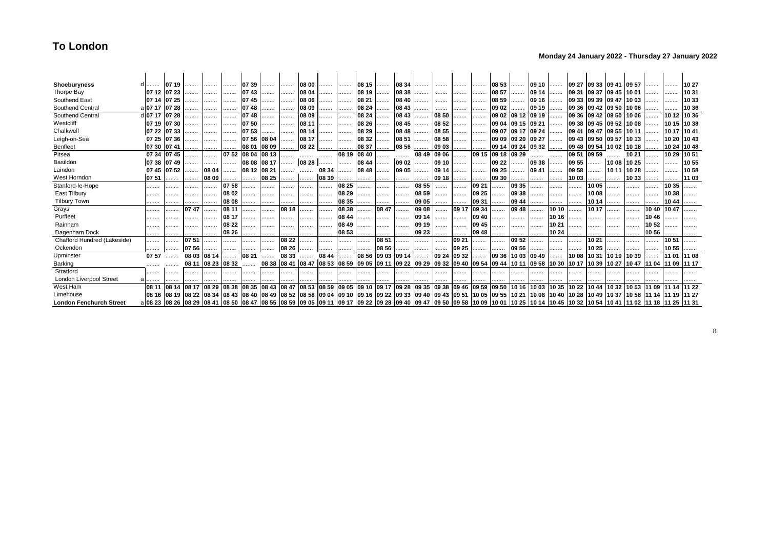| Shoeburyness                   |                                                                                                                                                                                                             | 07 19       |       | .                       |       | 0739              | .                             | .     | 08 00 |             | .     | 08 15 | .     | 08 34                                                                                        |       |       |       | .     | 08 53             |                   | 09 10 | .     |             | 09 27 09 33 09 41 09 57                                |                     |       |       |             | 10 27       |
|--------------------------------|-------------------------------------------------------------------------------------------------------------------------------------------------------------------------------------------------------------|-------------|-------|-------------------------|-------|-------------------|-------------------------------|-------|-------|-------------|-------|-------|-------|----------------------------------------------------------------------------------------------|-------|-------|-------|-------|-------------------|-------------------|-------|-------|-------------|--------------------------------------------------------|---------------------|-------|-------|-------------|-------------|
| Thorpe Bay                     | 07 12 07 23                                                                                                                                                                                                 |             |       | .                       | .     | 0743              |                               | .     | 08 04 |             | .     | 08 19 | .     | 08 38                                                                                        |       |       |       | .     | 08 57             | .                 | 09 14 | .     | 09 31       | 09 37 09 45 10 01                                      |                     |       |       | .           | 1031        |
| Southend East                  | 07 14 07 25                                                                                                                                                                                                 |             | .     | .                       |       | 0745              | .                             | .     | 08 06 |             | .     | 08 21 | .     | 08 40                                                                                        |       |       | .     | .     | 08 59             | .                 | 09 16 | .     |             | 09 33 09 39 09 47 10 03                                |                     |       | .     | .           | 10 33       |
| Southend Central               | al0717 0728                                                                                                                                                                                                 |             | .     |                         |       | 0748              | .                             | .     | 08 09 | .           | .     | 08 24 |       | 08 43                                                                                        |       |       | .     |       | 09 02             | .                 | 09 19 |       | 09 36       |                                                        | 09 42 09 50 10 06   |       |       |             | 10 36       |
| Southend Central               | d 07 17                                                                                                                                                                                                     | 07 28       |       | .                       |       | 0748              | .                             | .     | 08 09 |             |       | 08 24 | .     | 08 43                                                                                        |       | 08 50 |       | .     | 09 02             | 09 12 09 19       |       |       | 09 36       |                                                        | 09 42 09 50 10 06   |       |       | 10 12       | 10 36       |
| Westcliff                      | 07 19 07 30                                                                                                                                                                                                 |             | .     | .                       | .     | 0750              |                               |       | 08 11 |             |       | 08 26 | .     | 08 45                                                                                        | .     | 08 52 | .     | .     | 09 04             | 09 15 09 21       |       | .     | 09 38       |                                                        | 09 45 09 52 10 08   |       |       |             | 10 15 10 38 |
| Chalkwell                      | 07 22                                                                                                                                                                                                       | 0733        | .     |                         |       | 07 53             |                               | .     | 08 14 |             |       | 08 29 | .     | 08 48                                                                                        | .     | 08 55 | .     | .     | 09 07             | 09 17 09 24       |       |       | 09 41       |                                                        | 09 47  09 55  10 11 |       | .     | 10 17 10 41 |             |
| Leigh-on-Sea                   |                                                                                                                                                                                                             | 07 25 07 36 |       | .                       |       | 07 56             | 08 04                         |       | 08 17 |             |       | 08 32 | .     | 08 51                                                                                        |       | 08 58 |       | .     |                   | 09 09 09 20 09 27 |       |       |             | 09 43 09 50 09 57 10 13                                |                     |       |       |             | 10 20 10 43 |
| <b>Benfleet</b>                | 07 30                                                                                                                                                                                                       | 0741        | .     |                         |       | 08 01 08 09       |                               | .     | 08 22 |             |       | 08 37 |       | 08 56                                                                                        |       | 09 03 | .     |       | 09 14 09 24 09 32 |                   |       |       |             | 09 48 09 54 10 02 10 18                                |                     |       |       | 10 24 10 48 |             |
| Pitsea                         |                                                                                                                                                                                                             | 07 34 07 45 |       | .                       |       | 07 52 08 04 08 13 |                               |       | .     | .           | 08 19 | 08 40 | .     |                                                                                              | 08 49 | 09 06 | .     | 09 15 | 09 18 09 29       |                   |       |       | 09 51       | 09 59                                                  |                     | 10 21 |       | 10 29       | 1051        |
| Basildon                       | 07 38                                                                                                                                                                                                       | 0749        |       | .                       | .     | 08 08             | 08 17                         | .     | 08 28 |             | .     | 08 44 | .     | 09 02                                                                                        | .     | 09 10 |       | .     | 09 22             | .                 | 09 38 | .     | 09 55       |                                                        | 10 08 10 25         |       |       | .           | 1055        |
| Laindon                        |                                                                                                                                                                                                             | 07 45 07 52 | .     | 08 04                   |       | 08 12 08 21       |                               | .     |       | 08 34       |       | 08 48 | .     | 09 05                                                                                        |       | 09 14 |       |       | 09 25             | .                 | 09 41 |       | 09 58       |                                                        | 10 11 10 28         |       | .     |             | 1058        |
| West Horndon                   | 07 51                                                                                                                                                                                                       | .           | .     | 08 09                   |       | .                 | 08 25                         |       |       | 08 39       |       |       |       |                                                                                              |       | 09 18 |       | .     | 09 30             | .                 |       | .     | 10 03       | .                                                      | .                   | 10 33 |       |             | 11 03       |
| Stanford-le-Hope               |                                                                                                                                                                                                             |             |       | .                       | 07 58 | .                 | .                             |       |       | .           | 08 25 |       | .     | .                                                                                            | 08 55 |       | .     | 09 21 | .                 | 09 35             |       |       | .           | 10 05                                                  | .                   |       | .     | 10 35       |             |
| East Tilbury                   |                                                                                                                                                                                                             | .           | .     |                         | 08 02 | .                 |                               |       |       | .           | 08 29 | .     | .     |                                                                                              | 08 59 | .     | .     | 09 25 | .                 | 09 38             | .     |       | .           | 1008                                                   |                     |       |       | 10 38       |             |
| <b>Tilbury Town</b>            | .                                                                                                                                                                                                           |             |       |                         | 08 08 |                   |                               |       |       | .           | 08 35 |       |       |                                                                                              | 09 05 | .     |       | 09 31 |                   | 09 44             | .     |       |             | 10 14                                                  |                     |       |       | 1044        |             |
| Grays                          |                                                                                                                                                                                                             | .           | 0747  | .                       | 08 11 |                   | .                             | 08 18 |       | .           | 08 38 | .     | 08 47 |                                                                                              | 09 08 |       | 09 17 | 09 34 |                   | 09 48             | .     | 10 10 | .           | 10 17                                                  |                     |       | 10 40 | 1047        |             |
| Purfleet                       |                                                                                                                                                                                                             | .           |       | .                       | 08 17 | .                 |                               |       |       | .           | 08 44 | .     |       |                                                                                              | 09 14 |       |       | 09 40 | .                 | .                 | .     | 10 16 |             | .                                                      | .                   |       | 10 46 |             |             |
| Rainham                        | .                                                                                                                                                                                                           | .           |       | .                       | 08 22 | .                 |                               | .     |       |             | 08 49 |       | .     | .                                                                                            | 09 19 |       | .     | 09 45 | .                 |                   |       | 10 21 | .           |                                                        | .                   |       | 1052  |             |             |
| Dagenham Dock                  |                                                                                                                                                                                                             |             |       | .                       | 08 26 |                   |                               |       |       | .           | 08 53 |       |       |                                                                                              | 09 23 |       |       | 09 48 |                   | .                 |       | 10 24 |             |                                                        |                     |       | 1056  |             |             |
| Chafford Hundred (Lakeside)    |                                                                                                                                                                                                             |             | 0751  |                         |       |                   |                               | 08 22 | .     |             |       | .     | 08 51 |                                                                                              |       |       | 09 21 | .     | .                 | 09 52             | .     | .     | .           | 1021                                                   |                     |       |       | 1051        |             |
| Ockendon                       | .                                                                                                                                                                                                           | .           | 0756  | .                       |       |                   |                               | 08 26 |       | .           |       |       | 08 56 | .                                                                                            |       | .     | 09 25 | .     |                   | 09 56             | .     | .     | .           | 1025                                                   |                     |       |       | 10 55       |             |
| Upminster                      | 07 57                                                                                                                                                                                                       |             | 08 03 | 08 14                   |       | 08 21             |                               | 08 33 |       | 08 44       |       | 08 56 | 09 03 | 09 14                                                                                        |       | 09 24 | 09 32 |       | 09 36             | 10 03             | 09 49 |       | 1008        | 1031                                                   | 10 19               | 10 39 |       | 11 01       | 11 08       |
| Barking                        |                                                                                                                                                                                                             |             | 08 11 | 08 23                   | 08 32 |                   |                               |       |       |             |       |       |       | 08 38 08 41 08 47 08 53 08 59 09 05 09 11 09 22 09 29 09 32 09 40                            |       |       |       |       | 09 54 09 44 10 11 |                   | 09 58 |       | 10 30 10 17 | 10 39 10 27 10 47 11 04                                |                     |       |       | 11 09 11 17 |             |
| Stratford                      |                                                                                                                                                                                                             |             |       |                         |       |                   |                               |       |       |             |       |       |       | .                                                                                            |       | .     |       |       |                   |                   |       |       |             |                                                        |                     |       |       |             |             |
| London Liverpool Street        |                                                                                                                                                                                                             |             |       |                         |       |                   |                               |       |       |             |       |       |       | .                                                                                            |       |       |       |       |                   |                   |       |       |             |                                                        |                     |       |       |             |             |
| West Ham                       | 08 11                                                                                                                                                                                                       | 08 14       | 08 17 | 08 29                   | 08 38 | 08 35             | 08 43                         | 08 47 | 08 53 | 08 59 09 05 |       |       |       | 09 10 09 17 09 28                                                                            | 09 35 | 09 38 | 09 46 | 09 59 | 09 50             | 10 16             | 10 03 | 10 35 | 1022        | 1044                                                   | 10 32 10 53         |       | 11 09 | 11 14       | 11 22       |
| Limehouse                      |                                                                                                                                                                                                             |             |       | 08 16 08 19 08 22 08 34 |       |                   | 08 43 08 40 08 49 08 52 08 58 |       |       |             |       |       |       | <u> 09 04  09 10  09 16  09 22  09 33  09 40  09 43  09 51  10 05  09 55  10 21  10 08  </u> |       |       |       |       |                   |                   |       |       |             | 10 40  10 28  10 49  10 37  10 58  11 14  11 19  11 27 |                     |       |       |             |             |
| <b>London Fenchurch Street</b> | a 08 23  08 26  08 29  08 41  08 50  08 47  08 55  08 59  09 05  09 11  09 17  09 22  09 28  09 40  09 47  09 50  09 58  10 09  10 01  10 25  10 14  10 45  10 32  10 54  10 41  11 02  11 18  11 25  11 31 |             |       |                         |       |                   |                               |       |       |             |       |       |       |                                                                                              |       |       |       |       |                   |                   |       |       |             |                                                        |                     |       |       |             |             |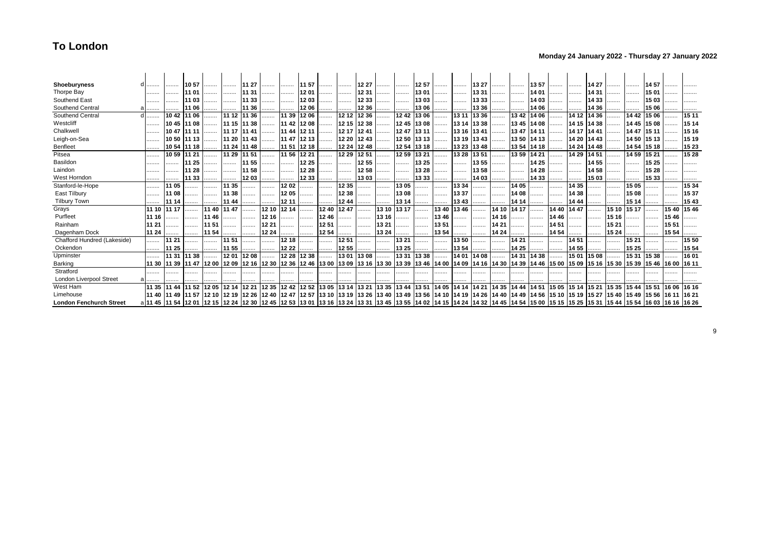### **Monday 24 January 2022 - Thursday 27 January 2022**

| Shoeburyness                   |                                                                                                                                                                                                            |             | 10 57 | .                                                                                  |             | 11 27       | .     | .     | 11 57 | .                 |       | 12 27 | .           |       | 12 57 |       | .                 | 13 27 | .     |             | 1357                                                                                                                                                                          | .     | .     | 14 27 |                               |       | 1457  |       |       |
|--------------------------------|------------------------------------------------------------------------------------------------------------------------------------------------------------------------------------------------------------|-------------|-------|------------------------------------------------------------------------------------|-------------|-------------|-------|-------|-------|-------------------|-------|-------|-------------|-------|-------|-------|-------------------|-------|-------|-------------|-------------------------------------------------------------------------------------------------------------------------------------------------------------------------------|-------|-------|-------|-------------------------------|-------|-------|-------|-------|
| Thorpe Bay                     | .                                                                                                                                                                                                          |             | 11 01 |                                                                                    |             | 11 31       | .     |       | 1201  |                   |       | 12 31 |             | .     | 13 01 |       | .                 | 1331  | .     |             | 14 01                                                                                                                                                                         | .     |       | 14 31 |                               |       | 1501  |       |       |
| Southend East                  | .                                                                                                                                                                                                          |             | 11 03 | .                                                                                  | .           | 11 33       | .     | .     | 1203  |                   |       | 12 33 | .           | .     | 13 03 |       |                   | 1333  | .     |             | 14 03                                                                                                                                                                         | .     |       | 14 33 |                               |       | 1503  |       |       |
| Southend Central               |                                                                                                                                                                                                            |             | 11 06 |                                                                                    |             | 11 36       |       |       | 12 06 |                   |       | 12 36 |             |       | 13 06 |       |                   | 13 36 | .     |             | 14 06                                                                                                                                                                         |       |       | 14 36 |                               |       | 15 06 |       |       |
| Southend Central               |                                                                                                                                                                                                            | 1042        | 11 06 |                                                                                    | 11 12 11 36 |             | .     | 11 39 | 1206  |                   | 12 12 | 12 36 | .           | 1242  | 13 06 |       | 13 11             | 13 36 | .     | 1342        | 14 06                                                                                                                                                                         | .     | 14 12 | 14 36 |                               | 14 42 | 15 06 |       | 15 11 |
| Westcliff                      | .                                                                                                                                                                                                          | 10 45       | 11 08 |                                                                                    | 11 15 11 38 |             | .     | 11 42 | 1208  | .                 | 12 15 | 12 38 |             | 1245  | 13 08 |       | 13 14             | 13 38 | .     | 13 45 14 08 |                                                                                                                                                                               |       | 14 15 | 14 38 | .                             | 14 45 | 15 08 |       | 15 14 |
| Chalkwel                       |                                                                                                                                                                                                            | 1047        | 11 11 | .                                                                                  | 11 17 11 41 |             |       | 11 44 | 12 11 | .                 | 12 17 | 1241  | .           | 1247  | 13 11 |       | 13 16             | 1341  | .     | 1347        | 14 11                                                                                                                                                                         | .     | 14 17 | 14 41 |                               | 14 47 | 15 11 |       | 15 16 |
| Leigh-on-Sea                   |                                                                                                                                                                                                            | 1050        | 11 13 |                                                                                    |             | 11 20 11 43 |       | 11 47 | 12 13 |                   | 12 20 | 1243  | .           | 1250  | 13 13 |       | 13 19             | 13 43 | .     | 13 50 14 13 |                                                                                                                                                                               | .     | 14 20 | 14 43 |                               | 14 50 | 15 13 |       | 15 19 |
| Benfleet                       |                                                                                                                                                                                                            | 1054        | 11 18 |                                                                                    |             | 11 24 11 48 |       | 11 51 | 12 18 | .                 | 12 24 | 1248  |             | 1254  | 13 18 |       | 13 23             | 1348  |       | 13 54 14 18 |                                                                                                                                                                               |       | 14 24 | 14 48 |                               | 14 54 | 15 18 |       | 15 23 |
| Pitsea                         |                                                                                                                                                                                                            | 1059        | 11 21 | .                                                                                  |             | 11 29 11 51 |       | 11 56 | 12 21 | .                 | 12 29 | 1251  | .           | 12 59 | 13 21 |       | 13 28             | 1351  |       | 1359        | 14 21                                                                                                                                                                         | .     | 14 29 | 14 51 | .                             | 14 59 | 15 21 | .     | 15 28 |
| Basildon                       |                                                                                                                                                                                                            |             | 11 25 |                                                                                    |             | 11 55       | .     | .     | 12 25 |                   |       | 12 55 | .           | .     | 13 25 |       |                   | 1355  | .     |             | 14 25                                                                                                                                                                         | .     | .     | 14 55 | .                             |       | 15 25 |       |       |
| Laindon                        |                                                                                                                                                                                                            |             | 11 28 |                                                                                    | .           | 11 58       |       | .     | 12 28 |                   |       | 1258  |             |       | 13 28 | .     |                   | 1358  | .     | .           | 14 28                                                                                                                                                                         |       | .     | 1458  |                               | .     | 15 28 |       | .     |
| West Horndon                   |                                                                                                                                                                                                            |             | 11 33 |                                                                                    |             | 1203        |       | .     | 12 33 |                   |       | 1303  | .           |       | 13 33 |       |                   | 14 03 |       | .           | 14 33                                                                                                                                                                         |       |       | 15 03 |                               |       | 15 33 |       | .     |
| Stanford-le-Hope               |                                                                                                                                                                                                            | 1105        | .     |                                                                                    | 11 35       |             |       | 1202  | .     | .                 | 12 35 |       | .           | 1305  | .     |       | 13 34             | .     | .     | 14 05       |                                                                                                                                                                               |       | 14 35 |       | .                             | 1505  | .     | .     | 15 34 |
| East Tilbury                   |                                                                                                                                                                                                            | l 08        | .     | .                                                                                  | 11 38       | .           |       | 1205  | .     | .                 | 1238  | .     | .           | 13 08 | .     |       | 13 37             | .     | .     | 14 08       |                                                                                                                                                                               | .     | 14 38 | .     | .                             | 15 08 | .     | .     | 1537  |
| <b>Tilbury Town</b>            |                                                                                                                                                                                                            | 11 14       |       |                                                                                    | 11 44       |             |       | 12 11 |       | .                 | 12 44 |       | .           | 13 14 |       | .     | 13 43             | .     | .     | 14 14       |                                                                                                                                                                               |       | 14 44 |       |                               | 15 14 |       |       | 1543  |
| Grays                          |                                                                                                                                                                                                            | 11 17       |       | 11 40                                                                              | 11 47       |             | 12 10 | 12 14 | .     | 12 40             | 1247  |       | 13 10       | 13 17 |       | 13 40 | 13 46             | .     | 14 10 | 14 17       |                                                                                                                                                                               | 14 40 | 14 47 |       | 15 10                         | 15 17 | .     | 15 40 | 1546  |
| Purfleet                       | 11 16                                                                                                                                                                                                      | .           |       | 11 46                                                                              |             |             | 12 16 | .     | .     | 1246              | .     |       | 13 16       | .     | .     | 13 46 |                   | .     | 14 16 | .           | .                                                                                                                                                                             | 14 46 | .     |       | 15 16                         |       | .     | 15 46 | .     |
| Rainham                        | 11 21                                                                                                                                                                                                      |             | .     | 11 51                                                                              | .           | .           | 12 21 |       | .     | 1251              |       |       | 13 21       |       | .     | 13 51 |                   | .     | 14 21 | .           | .                                                                                                                                                                             | 14 51 | .     |       | 15 21                         |       |       | 15 51 |       |
| Dagenham Dock                  | 11 24                                                                                                                                                                                                      |             | .     | 11 54                                                                              | .           | .           | 12 24 |       | .     | 12 54             |       | .     | 13 24       |       | .     | 13 54 |                   |       | 14 24 | .           |                                                                                                                                                                               | 14 54 | .     |       | 15 24                         |       | .     | 15 54 |       |
| Chafford Hundred (Lakeside)    |                                                                                                                                                                                                            | 11 21       |       | .                                                                                  | 11 51       |             |       | 12 18 |       | .                 | 1251  |       | .           | 13 21 |       | .     | 13 50             |       | .     | 14 21       | .                                                                                                                                                                             | .     | 14 51 |       |                               | 15 21 |       | .     | 15 50 |
| Ockendon                       |                                                                                                                                                                                                            | l1 25       |       |                                                                                    | 11 55       |             |       | 12 22 |       |                   | 12 55 |       | .           | 13 25 |       |       | 13 54             | .     | .     | 14 25       |                                                                                                                                                                               | .     | 14 55 |       |                               | 15 25 |       |       | 15 54 |
| Upminster                      |                                                                                                                                                                                                            | 11 31       | 11 38 |                                                                                    | 1201        | 1208        |       | 12 28 | 12 38 |                   | 1301  | 1308  | .           | 13 31 | 13 38 |       | 14 01             | 14 08 |       | 14 31       | 14 38                                                                                                                                                                         |       | 15 01 | 15 08 |                               | 15 31 | 15 38 |       | 16 01 |
| Barking                        |                                                                                                                                                                                                            | 11 30 11 39 |       | 11 47  12 00  12 09  12 16  12 30  12 36  12 46  13 00  13 09  13 16  13 30  13 39 |             |             |       |       |       |                   |       |       |             |       |       |       |                   |       |       |             | 13 46  14 00  14 09  14 16  14 30  14 39  14 46  15 00  15 09                                                                                                                 |       |       |       | 15 16 15 30 15 39 15 46 16 00 |       |       |       | 16 11 |
| Stratford                      |                                                                                                                                                                                                            |             | .     |                                                                                    |             |             | .     |       | .     |                   |       |       |             |       |       |       |                   |       |       |             |                                                                                                                                                                               |       |       |       |                               |       |       |       |       |
| <b>London Liverpool Street</b> |                                                                                                                                                                                                            |             |       |                                                                                    |             |             |       |       |       |                   |       |       |             |       |       |       |                   |       |       |             |                                                                                                                                                                               |       |       |       |                               |       |       |       |       |
| West Ham                       |                                                                                                                                                                                                            | 11 35 11 44 | 11 52 | 1205                                                                               | 12 14 12 21 |             | 12 35 | 1242  |       | 12 52 13 05 13 14 |       | 13 21 | 13 35 13 44 |       |       |       | 13 51 14 05 14 14 | 14 21 | 14 35 | 14 44       | 14 51 15 05                                                                                                                                                                   |       | 15 14 | 15 21 | 15 35                         | 1544  | 1551  | 16 06 | 16 16 |
| Limehouse                      |                                                                                                                                                                                                            |             |       |                                                                                    |             |             |       |       |       |                   |       |       |             |       |       |       |                   |       |       |             | 11 40 11 49 11 57 12 10 12 19 12 26 12 40 12 47 12 57 13 10 13 19 13 26 13 40 13 49 13 56 14 10 14 19 14 26 14 40 14 49 14 49 14 56 15 10 15 19 15 27 15 40 15 49 15 56 16 11 |       |       |       |                               |       |       |       | 16 21 |
| <b>London Fenchurch Street</b> | a 11 45  11 54  12 01  12 15  12 24  12 30  12 45  12 53  13 01  13 16  13 24  13 31  13 45  13 55  14 02  14 15  14 24  14 32  14 45  15 4  15 00  15 15  15 35  15 31  15 44  15 54  16 03  16 16  16 26 |             |       |                                                                                    |             |             |       |       |       |                   |       |       |             |       |       |       |                   |       |       |             |                                                                                                                                                                               |       |       |       |                               |       |       |       |       |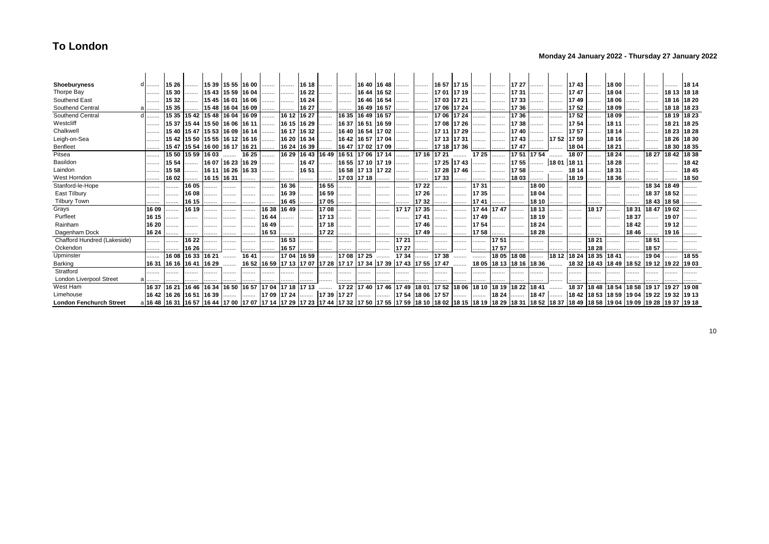### **Monday 24 January 2022 - Thursday 27 January 2022**

| Shoeburyness                   |                                                                                                                                                                                                                               | 15 26                   |             |                               |                   | 15 39 15 55 16 00   | .           | .           | 16 18       |                                                                   | .           |                            | 16 40 16 48 | .     | .                 | 16 57 17 15 |             | .           | .                       | 17 27 |       | .                        | 1743  | .           | 18 00       | .     |                                                 |       | 18 14       |
|--------------------------------|-------------------------------------------------------------------------------------------------------------------------------------------------------------------------------------------------------------------------------|-------------------------|-------------|-------------------------------|-------------------|---------------------|-------------|-------------|-------------|-------------------------------------------------------------------|-------------|----------------------------|-------------|-------|-------------------|-------------|-------------|-------------|-------------------------|-------|-------|--------------------------|-------|-------------|-------------|-------|-------------------------------------------------|-------|-------------|
| Thorpe Bay                     |                                                                                                                                                                                                                               | 15 30                   | .           | 15 43 15 59 16 04             |                   |                     |             | .           | 16 22       | .                                                                 | .           |                            | 16 44 16 52 |       | .                 | 17 01 17 19 |             | .           | .                       | 1731  |       |                          | 1747  | .           | 18 04       | .     |                                                 | 18 13 | 18 18       |
| Southend East                  | .                                                                                                                                                                                                                             | 1532                    |             |                               |                   | 15 45 16 01 16 06   | .           | .           | 16 24       |                                                                   | .           | 16 46 16 54                |             | .     | .                 | 17 03 17 21 |             | .           | .                       | 1733  |       |                          | 1749  | .           | 18 06       |       |                                                 |       | 18 16 18 20 |
| Southend Central               |                                                                                                                                                                                                                               | 15 35                   |             | 15 48 16 04 16 09             |                   |                     |             | .           | 16 27       |                                                                   | .           | 16 49 16 57                |             |       | .                 | 17 06 17 24 |             | .           | .                       | 1736  | .     |                          | 1752  | .           | 18 09       |       |                                                 | 18 18 | 18 23       |
| Southend Central               |                                                                                                                                                                                                                               | 15 35                   | 1542        |                               |                   | 15 48 16 04 16 09   | .           | 16 12       | 16 27       |                                                                   | 16 35       | 16 49                      | 16 57       | .     |                   | 17 06 17 24 |             | .           | .                       | 1736  | .     |                          | 1752  |             | 1809        |       |                                                 | 18 19 | 18 23       |
| Westcliff                      | .                                                                                                                                                                                                                             |                         |             | 15 37 15 44 15 50 16 06 16 11 |                   |                     | .           | 16 15 16 29 |             | .                                                                 | 16 37       | 16 51 16 59                |             | .     | .                 | 17 08 17 26 |             | .           | .                       | 1738  | .     | .                        | 1754  | .           | 181'        |       | .                                               | 18 21 | 18 25       |
| Chalkwel                       | .                                                                                                                                                                                                                             |                         |             | 15 40 15 47 15 53 16 09 16 14 |                   |                     | .           |             | 16 17 16 32 |                                                                   |             | 16 40 16 54 17 02          |             |       | .                 | 17 11 17 29 |             | .           | .                       | 1740  | .     | .                        | 1757  |             | 18 14       |       | .                                               | 18 23 | 18 28       |
| Leigh-on-Sea                   |                                                                                                                                                                                                                               |                         |             | 15 42 15 50 15 55 16 12 16 16 |                   |                     | .           | 16 20       | 16 34       |                                                                   | 1642        | 16 57 17 04                |             | .     | .                 | 17 13 17 31 |             | .           | .                       | 1743  |       | $\ldots$   17 52   17 59 |       | .           | 18 16       |       | .                                               | 18 26 | 18 30       |
| Benfleet                       |                                                                                                                                                                                                                               |                         | 15 47 15 54 |                               |                   | 16 00  16 17  16 21 |             | 16 24       | 16 39       |                                                                   |             | 16 47 17 02 17 09          |             |       | .                 |             | 17 18 17 36 | .           |                         | 1747  |       |                          | 1804  |             | 18 21       |       |                                                 | 18 30 | 18 35       |
| Pitsea                         |                                                                                                                                                                                                                               | 15 50                   | 15 59       | 1603                          |                   | 16 25               |             | 16 29       | 1643        |                                                                   |             | 16 49  16 51  17 06  17 14 |             | .     | 17 16             | 17 21       |             | 17 25       |                         | 1751  | 1754  |                          | 1807  |             | 18 24       |       | 18 27                                           | 1842  | 18 38       |
| Basildon                       |                                                                                                                                                                                                                               | 15 54                   | .           |                               | 16 07 16 23 16 29 |                     |             | .           | 16 47       |                                                                   |             | 16 55 17 10 17 19          |             | .     |                   |             | 17 25 17 43 |             | .                       | 1755  |       | $\ldots$ 18 01 18 11     |       | .           | 18 28       |       | .                                               | .     | 1842        |
| Laindon                        |                                                                                                                                                                                                                               | 15 58                   |             |                               |                   | 16 11 16 26 16 33   | .           | .           | 16 51       | .                                                                 |             | 16 58 17 13 17 22          |             | .     | .                 | 17 28 17 46 |             | .           | .                       | 1758  | .     |                          | 18 14 |             | 18 31       |       |                                                 |       | 1845        |
| West Horndon                   |                                                                                                                                                                                                                               | 1602                    |             | 16 15 16 31                   |                   |                     |             |             | .           | .                                                                 | 17 03 17 18 |                            | .           | .     |                   | 17 33       |             | .           | .                       | 1803  | .     | .                        | 18 19 |             | 18 36       |       |                                                 |       | 1850        |
| Stanford-le-Hope               |                                                                                                                                                                                                                               | .                       | 16 05       |                               |                   | .                   |             | 16 36       | .           | 16 55                                                             | .           | .                          | .           | .     | 17 22             | .           |             | 1731        | .                       |       | 18 00 | .                        | .     |             |             | .     | 18 34 18 49                                     |       | .           |
| East Tilbury                   |                                                                                                                                                                                                                               |                         | 16 08       |                               |                   | .                   |             | 1639        | .           | 16 59                                                             | .           | .                          |             | .     | 17 26             |             | .           | 1735        | .                       |       | 18 04 |                          | .     |             |             |       | 18 37 18 52                                     |       |             |
| <b>Tilbury Town</b>            |                                                                                                                                                                                                                               |                         | 16 15       |                               |                   |                     |             | 1645        | .           | 1705                                                              |             | .                          |             |       | 1732              |             | .           | 1741        |                         |       | 18 10 | .                        |       |             |             |       | 18 43 18 58                                     |       |             |
| Grays                          | 16 09                                                                                                                                                                                                                         |                         | 16 19       |                               | .                 |                     | 16 38       | 16 49       |             | 1708                                                              | .           | .                          |             | 17 17 | 17 35             |             |             | 17 44 17 47 |                         | .     | 18 13 |                          |       | 18 17       |             | 1831  | 1847                                            | 1902  |             |
| Purfleet                       | 16 15                                                                                                                                                                                                                         |                         |             |                               | .                 | .                   | 16 44       | .           | .           | 1713                                                              | .           | .                          |             | .     | 1741              |             | .           | 17 49       | .                       |       | 18 19 | .                        | .     |             |             | 18 37 | .                                               | 1907  |             |
| Rainham                        | 16 20                                                                                                                                                                                                                         |                         | .           |                               |                   |                     | 1649        | .           | .           | 17 18                                                             | .           | .                          |             |       | 1746              |             |             | 1754        | .                       | .     | 18 24 |                          |       | .           |             | 1842  |                                                 | 19 12 |             |
| Dagenham Dock                  | 16 24                                                                                                                                                                                                                         |                         |             |                               |                   |                     | 16 53       | .           | .           | 17 22                                                             |             | .                          |             |       | 1749              |             |             | 1758        | .                       |       | 18 28 |                          |       |             |             | 1846  |                                                 | 19 16 |             |
| Chafford Hundred (Lakeside)    |                                                                                                                                                                                                                               |                         | 16 22       |                               |                   |                     |             | 16 53       | .           |                                                                   | .           |                            |             | 17 21 |                   |             |             | .           | 1751                    |       |       | .                        |       | 18 21       |             |       | 1851                                            |       |             |
| Ockendon                       |                                                                                                                                                                                                                               |                         | 16 26       | .                             |                   |                     | .           | 16 57       |             |                                                                   |             | .                          | .           | 17 27 |                   |             | .           | .           | 1757                    |       |       |                          | .     | 18 28       |             | .     | 1857                                            |       |             |
| Upminster                      |                                                                                                                                                                                                                               | 16 08                   | 16 33       | 16 21                         |                   | 1641                |             | 1704        | 16 59       |                                                                   | 1708        | 17 25                      |             | 1734  | .                 | 1738        | .           |             | 18 05                   | 1808  |       | 18 12 18 24              |       | 18 35 18 41 |             |       | 1904                                            |       | 1855        |
| Barking                        |                                                                                                                                                                                                                               | 16 31 16 16 16 41       |             | 16 29                         |                   |                     |             |             |             | 16 52 16 59 17 13 17 07 17 28 17 17 17 34 17 39 17 43 17 55 17 47 |             |                            |             |       |                   |             |             |             | 18 05 18 13 18 16 18 36 |       |       |                          |       |             |             |       | 18 32   18 43   18 49   18 52   19 12   19 22   |       | 1903        |
| Stratford                      |                                                                                                                                                                                                                               |                         |             |                               |                   |                     |             | .           |             |                                                                   |             | .                          |             |       |                   |             |             |             |                         |       |       |                          |       |             |             |       |                                                 |       |             |
| <b>London Liverpool Street</b> |                                                                                                                                                                                                                               |                         |             |                               |                   |                     |             |             |             |                                                                   |             |                            | .           |       |                   | .           | .           | .           |                         |       | .     |                          | .     |             |             |       |                                                 |       |             |
| West Ham                       | 16 37                                                                                                                                                                                                                         | 16 21                   | 16 46       | 16 34                         | 16 50             | 16 57               | 1704        | 17 18       | 1713        | .                                                                 |             | 17 22 17 40 17 46 17 49    |             |       | 18 01 17 52 18 06 |             |             | 18 10 18 19 |                         | 18 22 | 1841  |                          | 1837  | 1848        | 18 54 18 58 |       | 19 17                                           | 19 27 | 1908        |
| Limehouse                      |                                                                                                                                                                                                                               | 16 42 16 26 16 51 16 39 |             |                               |                   |                     | 17 09 17 24 |             | .           | 17 39 17 27                                                       |             |                            | .           |       | 17 54 18 06 17 57 |             |             | .           | 18 24                   | .     | 1847  | .                        |       |             |             |       | 18 42  18 53  18 59  19 04  19 22  19 32  19 13 |       |             |
| <b>London Fenchurch Street</b> | a 16 48  16 31  16 57  16 44  17 00  17 07  17 14  17 29  17 23  17 44  17 32  17 50  17 55  17 59  18 10  18 02  18 15  18 19  18 32  18 37  18 49  18 58  19 04  19 09  19 28  19 37  19 49  18 58  19 04  19 09  19 28  19 |                         |             |                               |                   |                     |             |             |             |                                                                   |             |                            |             |       |                   |             |             |             |                         |       |       |                          |       |             |             |       |                                                 |       |             |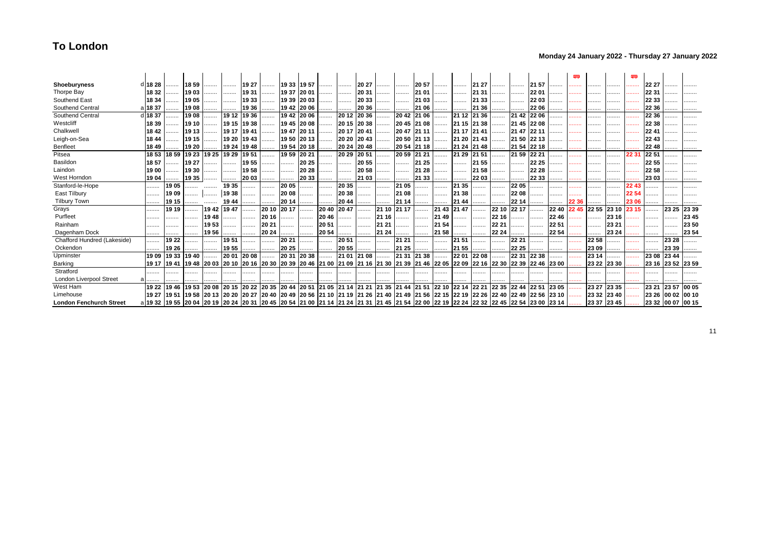### **Monday 24 January 2022 - Thursday 27 January 2022**

| Shoeburyness                   | d 18 28                                                                                                                                                           |                   | 1859  | .     |                   | 19 27       |             | 19 33 19 57 |             | .     |                   | 20 27       | .           | .           | 20 57 |             |                         | 21 27       | .                                                                                                                                                               |             | 21 57 |       |       |       |             |       | 22 27             |       |       |
|--------------------------------|-------------------------------------------------------------------------------------------------------------------------------------------------------------------|-------------------|-------|-------|-------------------|-------------|-------------|-------------|-------------|-------|-------------------|-------------|-------------|-------------|-------|-------------|-------------------------|-------------|-----------------------------------------------------------------------------------------------------------------------------------------------------------------|-------------|-------|-------|-------|-------|-------------|-------|-------------------|-------|-------|
| Thorpe Bay                     | 18 32                                                                                                                                                             |                   | 1903  |       |                   | 1931        | .           | 19 37 20 01 |             | .     | .                 | 20 31       | .           | .           | 21 01 |             | .                       | 21 31       | .                                                                                                                                                               | .           | 22 01 |       |       |       |             |       | 22 31             |       |       |
| Southend East                  | 18 34                                                                                                                                                             |                   | 1905  | .     | .                 | 1933        | .           | 19 39 20 03 |             |       | .                 | 20 33       | .           | .           | 21 03 | .           | .                       | 21 33       | .                                                                                                                                                               | .           | 22 03 |       |       |       |             |       | 22 33             |       |       |
| Southend Central               | al 18 37                                                                                                                                                          |                   | 1908  | .     |                   | 19 36       |             | 19 42 20 06 |             |       |                   | 20 36       |             |             | 21 06 |             |                         | 21 36       | .                                                                                                                                                               |             | 22 06 |       |       |       |             |       | 22 36             |       |       |
| Southend Central               | 18 37                                                                                                                                                             |                   | 1908  | .     |                   | 19 12 19 36 | .           | 19 42 20 06 |             | .     | 20 12             | 20 36       | .           | 2042        | 21 06 | .           |                         | 21 12 21 36 | .                                                                                                                                                               | 21 42 22 06 |       |       | .     | .     |             |       | 22 36             |       |       |
| Westcliff                      | 18 39                                                                                                                                                             |                   | 19 10 | .     | 19 15 19 38       |             | .           | 19 45 20 08 |             | .     | 20 15 20 38       |             | .           | 20 45       | 21 08 | .           | 21 15 21 38             |             |                                                                                                                                                                 | 21 45 22 08 |       | .     |       | .     |             |       | 22 38             |       |       |
| Chalkwel                       | 18 42                                                                                                                                                             |                   | 19 13 | .     | 19 17 19 41       |             | .           | 19 47 20 11 |             | .     | 20 17 20 41       |             | .           | 2047        | 21 11 |             | 21 17 21 41             |             |                                                                                                                                                                 | 2147        | 22 11 |       | .     | .     |             |       | 2241              |       |       |
| Leigh-on-Sea                   | 18 44                                                                                                                                                             |                   | 19 15 |       |                   | 19 20 19 43 | .           | 1950        | 2013        | .     | 20 20 20 43       |             |             | 20 50 21 13 |       |             | 21 20 21 43             |             | .                                                                                                                                                               | 21 50 22 13 |       |       |       |       |             |       | 22 43             |       |       |
| Benfleet                       | 18 49                                                                                                                                                             |                   | 19 20 |       |                   | 19 24 19 48 |             |             | 19 54 20 18 |       |                   | 20 24 20 48 | .           | 20 54       | 21 18 |             | 21 24 21 48             |             |                                                                                                                                                                 | 21 54       | 22 18 |       |       |       |             |       | 22 48             |       |       |
| Pitsea                         |                                                                                                                                                                   | 18 53 18 59       | 19 23 |       | 19 25 19 29 19 51 |             | .           | 1959        | 20 21       | .     | 20 29 20 51       |             |             | 20 59 21 21 |       | .           | 21 29                   | 21 51       | .                                                                                                                                                               | 21 59 22 21 |       | .     | .     | .     |             | 22.31 | 22 51             |       |       |
| Basildon                       | 18 57                                                                                                                                                             |                   | 19 27 | .     | .                 | 1955        |             | .           | 20 25       |       | .                 | 20 55       | .           | .           | 21 25 |             | .                       | 21 55       |                                                                                                                                                                 | .           | 22 25 |       | .     | .     |             |       | 22 55             |       |       |
| Laindon                        | 19 00                                                                                                                                                             | .                 | 19 30 | .     |                   | 1958        |             | .           | 20 28       |       |                   | 20 58       | .           | .           | 21 28 |             |                         | 21 58       |                                                                                                                                                                 | .           | 22 28 |       |       |       |             |       | 22 58             |       |       |
| West Horndon                   | 19 04                                                                                                                                                             |                   | 19 35 |       |                   | 20 03       | .           | .           | 20 33       |       |                   | 21 03       |             | .           | 21 33 |             | .                       | 22 03       |                                                                                                                                                                 | .           | 22 33 |       | .     | .     |             |       | 23 03             |       |       |
| Stanford-le-Hope               | .                                                                                                                                                                 | 1905              |       |       | 1935              | .           |             | 20 05       |             |       | 20 35             |             |             | 21 05       |       |             | 21 35                   | .           | .                                                                                                                                                               | 22 05       | .     | .     | .     | .     |             | 22 43 |                   |       |       |
| East Tilbury                   | .                                                                                                                                                                 | 1909              |       | .     | 19 38             |             |             | 20 08       |             |       | 20 38             |             |             | 21 08       |       |             | 21 38                   | .           |                                                                                                                                                                 | 22 08       |       | .     | .     | .     | .           | 22.54 |                   | .     |       |
| <b>Tilbury Town</b>            | .                                                                                                                                                                 | 19 15             |       |       | 19 44             |             |             | 20 14       | .           |       | 20 44             |             |             | 21 14       |       | .           | 21 44                   | .           |                                                                                                                                                                 | 22 14       |       |       | 22 36 |       |             | 23 06 |                   |       |       |
| Grays                          | .                                                                                                                                                                 | 19 19             |       | 19 42 | 1947              |             | 20 10       | 20 17       | .           | 20 40 | 2047              |             | 21 10       | 21 17       |       | 21 43 21 47 |                         | .           | 22 10                                                                                                                                                           | 22 17       |       | 22 40 |       | 22 55 | 23 10       | 23 15 |                   | 23 25 | 23 39 |
| Purfleet                       | .                                                                                                                                                                 |                   |       | 19 48 |                   | .           | 20 16       | .           | .           | 20 46 | .                 |             | 21 16       |             | .     | 21 49       | .                       | .           | 22 16                                                                                                                                                           | .           |       | 2246  | .     | .     | 23 16       |       |                   |       | 23 45 |
| Rainham                        |                                                                                                                                                                   |                   | .     | 1953  |                   | .           | 20 21       |             | .           | 20 51 |                   |             | 21 21       |             | .     | 21 54       | .                       | .           | 22 21                                                                                                                                                           | .           |       | 22 51 |       |       | 23 21       |       |                   |       | 23 50 |
| Dagenham Dock                  | .                                                                                                                                                                 |                   |       | 1956  |                   | .           | 20 24       |             |             | 20 54 |                   |             | 21 24       |             |       | 21 58       |                         | .           | 22 24                                                                                                                                                           |             | .     | 22 54 |       |       | 23 24       |       |                   |       | 23 54 |
| Chafford Hundred (Lakeside)    | .                                                                                                                                                                 | 1922              |       | .     | 1951              |             | .           | 20 21       |             | .     | 20 51             |             | .           | 21 21       |       | .           | 21 51                   | .           | .                                                                                                                                                               | 22 21       | .     | .     |       | 22 58 |             |       | .                 | 23 28 |       |
| Ockendon                       | .                                                                                                                                                                 | 19 26             |       |       | 1955              |             | .           | 20 25       | .           |       | 20 55             |             | .           | 21 25       | .     |             | 21 55                   | .           |                                                                                                                                                                 | 22 25       |       | .     |       | 23 09 |             |       |                   | 23 39 |       |
| Upminster                      |                                                                                                                                                                   | 19 09 19 33       | 1940  |       | 20 01             | 20 08       |             | 20 31       | 20 38       |       |                   | 21 01 21 08 |             | 21 31       | 21 38 |             | 22 01                   | 22 08       |                                                                                                                                                                 | 22 31       | 22 38 |       |       | 23 14 |             |       | 23 08             | 23 44 |       |
| Barking                        |                                                                                                                                                                   | 19 17 19 41 19 48 |       |       |                   |             |             |             |             |       |                   |             |             |             |       |             |                         |             | 20 03  20 10  20 16  20 30  20 39  20 46  21 00  21 09  21 16  21 30  21 39  21 46  22 05  22 09  22 16  22 30  22 39  22 46                                    |             |       | 23 00 |       |       | 23 22 23 30 |       | 23 16 23 52 23 59 |       |       |
| Stratford                      |                                                                                                                                                                   |                   | .     | .     |                   |             |             | .           | .           |       |                   |             |             |             |       |             |                         |             |                                                                                                                                                                 |             |       |       |       |       |             |       |                   |       |       |
| <b>London Liverpool Street</b> |                                                                                                                                                                   |                   |       |       |                   |             |             |             |             |       |                   |             |             |             |       |             |                         |             |                                                                                                                                                                 |             |       |       |       |       |             |       |                   |       |       |
| West Ham                       |                                                                                                                                                                   | 19 22 19 46       | 1953  | 20 08 |                   | 20 15 20 22 | 20 35 20 44 |             | 20 51       |       | 21 05 21 14 21 21 |             | 21 35 21 44 |             |       |             | 21 51 22 10 22 14 22 21 |             | 22 35 22 44 22 51                                                                                                                                               |             |       | 23 05 |       | 23 27 | 23 35       |       | 23 21             | 23 57 | 00 05 |
| Limehouse                      |                                                                                                                                                                   |                   |       |       |                   |             |             |             |             |       |                   |             |             |             |       |             |                         |             | 19 27  19 51  19 58  20 13  20 20  20 27  20 40  20 49  20 56  21 10  21 19  21 26  21 40  21 49  21 56  22 15  22 15  22 26  22 26  22 49  22 49  22 56  23 10 |             |       |       |       |       | 23 32 23 40 |       | 23 26 00 02 00 10 |       |       |
| <b>London Fenchurch Street</b> | a 19 32  19 55  20 04  20 19  20 24  20 31  20 45  20 54  21 00  21 14  21 24  21 31  21 45  21 54  22 00  22 19  22 24  22 24  22 32  22 45  22 54  23 00  23 14 |                   |       |       |                   |             |             |             |             |       |                   |             |             |             |       |             |                         |             |                                                                                                                                                                 |             |       |       |       |       | 23 37 23 45 |       | 23 32 00 07 00 15 |       |       |